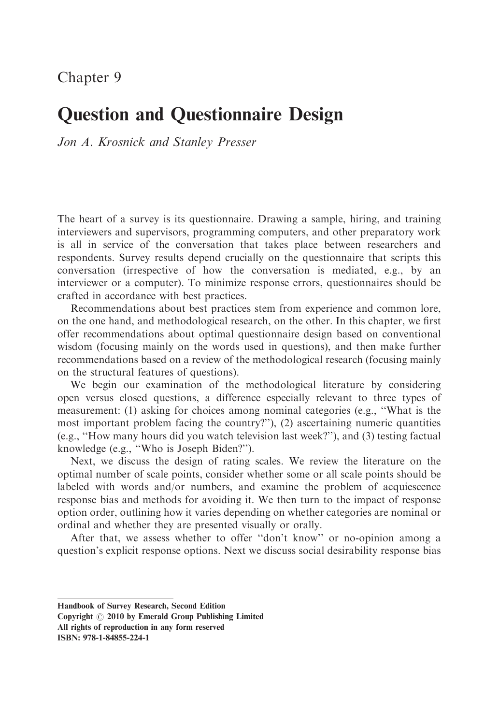# Chapter 9

# Question and Questionnaire Design

Jon A. Krosnick and Stanley Presser

The heart of a survey is its questionnaire. Drawing a sample, hiring, and training interviewers and supervisors, programming computers, and other preparatory work is all in service of the conversation that takes place between researchers and respondents. Survey results depend crucially on the questionnaire that scripts this conversation (irrespective of how the conversation is mediated, e.g., by an interviewer or a computer). To minimize response errors, questionnaires should be crafted in accordance with best practices.

Recommendations about best practices stem from experience and common lore, on the one hand, and methodological research, on the other. In this chapter, we first offer recommendations about optimal questionnaire design based on conventional wisdom (focusing mainly on the words used in questions), and then make further recommendations based on a review of the methodological research (focusing mainly on the structural features of questions).

We begin our examination of the methodological literature by considering open versus closed questions, a difference especially relevant to three types of measurement: (1) asking for choices among nominal categories (e.g., ''What is the most important problem facing the country?''), (2) ascertaining numeric quantities (e.g., ''How many hours did you watch television last week?''), and (3) testing factual knowledge (e.g., ''Who is Joseph Biden?'').

Next, we discuss the design of rating scales. We review the literature on the optimal number of scale points, consider whether some or all scale points should be labeled with words and/or numbers, and examine the problem of acquiescence response bias and methods for avoiding it. We then turn to the impact of response option order, outlining how it varies depending on whether categories are nominal or ordinal and whether they are presented visually or orally.

After that, we assess whether to offer ''don't know'' or no-opinion among a question's explicit response options. Next we discuss social desirability response bias

All rights of reproduction in any form reserved

ISBN: 978-1-84855-224-1

Handbook of Survey Research, Second Edition

Copyright  $\odot$  2010 by Emerald Group Publishing Limited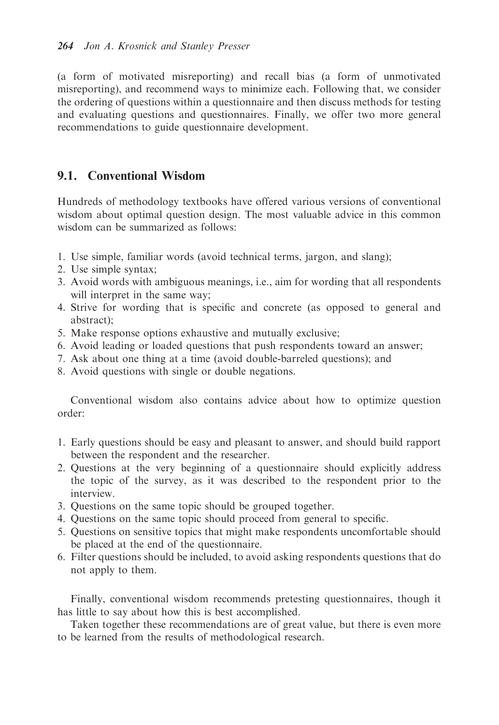(a form of motivated misreporting) and recall bias (a form of unmotivated misreporting), and recommend ways to minimize each. Following that, we consider the ordering of questions within a questionnaire and then discuss methods for testing and evaluating questions and questionnaires. Finally, we offer two more general recommendations to guide questionnaire development.

# 9.1. Conventional Wisdom

Hundreds of methodology textbooks have offered various versions of conventional wisdom about optimal question design. The most valuable advice in this common wisdom can be summarized as follows:

- 1. Use simple, familiar words (avoid technical terms, jargon, and slang);
- 2. Use simple syntax;
- 3. Avoid words with ambiguous meanings, i.e., aim for wording that all respondents will interpret in the same way;
- 4. Strive for wording that is specific and concrete (as opposed to general and abstract);
- 5. Make response options exhaustive and mutually exclusive;
- 6. Avoid leading or loaded questions that push respondents toward an answer;
- 7. Ask about one thing at a time (avoid double-barreled questions); and
- 8. Avoid questions with single or double negations.

Conventional wisdom also contains advice about how to optimize question order:

- 1. Early questions should be easy and pleasant to answer, and should build rapport between the respondent and the researcher.
- 2. Questions at the very beginning of a questionnaire should explicitly address the topic of the survey, as it was described to the respondent prior to the interview.
- 3. Questions on the same topic should be grouped together.
- 4. Questions on the same topic should proceed from general to specific.
- 5. Questions on sensitive topics that might make respondents uncomfortable should be placed at the end of the questionnaire.
- 6. Filter questions should be included, to avoid asking respondents questions that do not apply to them.

Finally, conventional wisdom recommends pretesting questionnaires, though it has little to say about how this is best accomplished.

Taken together these recommendations are of great value, but there is even more to be learned from the results of methodological research.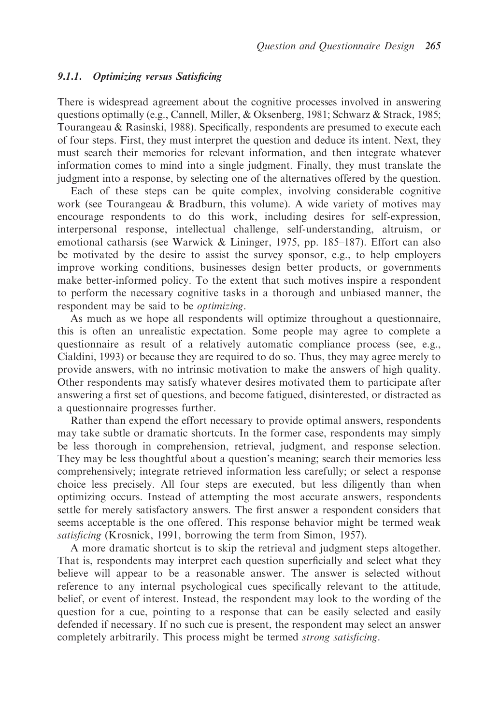#### 9.1.1. Optimizing versus Satisficing

There is widespread agreement about the cognitive processes involved in answering questions optimally (e.g., Cannell, Miller, & Oksenberg, 1981; Schwarz & Strack, 1985; Tourangeau & Rasinski, 1988). Specifically, respondents are presumed to execute each of four steps. First, they must interpret the question and deduce its intent. Next, they must search their memories for relevant information, and then integrate whatever information comes to mind into a single judgment. Finally, they must translate the judgment into a response, by selecting one of the alternatives offered by the question.

Each of these steps can be quite complex, involving considerable cognitive work (see Tourangeau & Bradburn, this volume). A wide variety of motives may encourage respondents to do this work, including desires for self-expression, interpersonal response, intellectual challenge, self-understanding, altruism, or emotional catharsis (see Warwick & Lininger, 1975, pp. 185–187). Effort can also be motivated by the desire to assist the survey sponsor, e.g., to help employers improve working conditions, businesses design better products, or governments make better-informed policy. To the extent that such motives inspire a respondent to perform the necessary cognitive tasks in a thorough and unbiased manner, the respondent may be said to be optimizing.

As much as we hope all respondents will optimize throughout a questionnaire, this is often an unrealistic expectation. Some people may agree to complete a questionnaire as result of a relatively automatic compliance process (see, e.g., Cialdini, 1993) or because they are required to do so. Thus, they may agree merely to provide answers, with no intrinsic motivation to make the answers of high quality. Other respondents may satisfy whatever desires motivated them to participate after answering a first set of questions, and become fatigued, disinterested, or distracted as a questionnaire progresses further.

Rather than expend the effort necessary to provide optimal answers, respondents may take subtle or dramatic shortcuts. In the former case, respondents may simply be less thorough in comprehension, retrieval, judgment, and response selection. They may be less thoughtful about a question's meaning; search their memories less comprehensively; integrate retrieved information less carefully; or select a response choice less precisely. All four steps are executed, but less diligently than when optimizing occurs. Instead of attempting the most accurate answers, respondents settle for merely satisfactory answers. The first answer a respondent considers that seems acceptable is the one offered. This response behavior might be termed weak satisficing (Krosnick, 1991, borrowing the term from Simon, 1957).

A more dramatic shortcut is to skip the retrieval and judgment steps altogether. That is, respondents may interpret each question superficially and select what they believe will appear to be a reasonable answer. The answer is selected without reference to any internal psychological cues specifically relevant to the attitude, belief, or event of interest. Instead, the respondent may look to the wording of the question for a cue, pointing to a response that can be easily selected and easily defended if necessary. If no such cue is present, the respondent may select an answer completely arbitrarily. This process might be termed strong satisficing.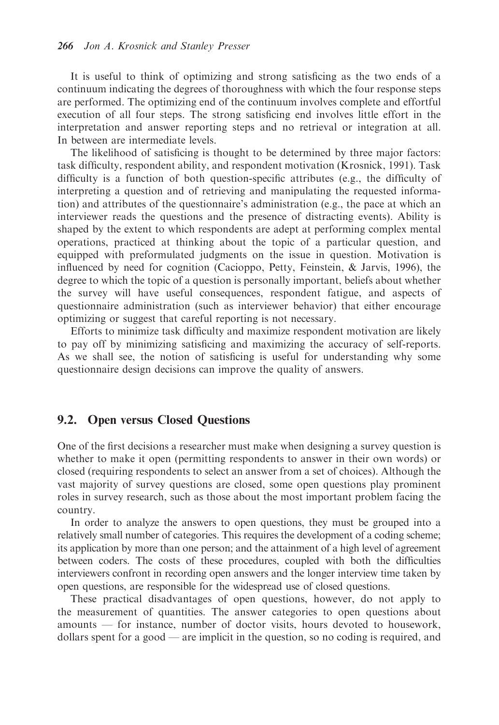It is useful to think of optimizing and strong satisficing as the two ends of a continuum indicating the degrees of thoroughness with which the four response steps are performed. The optimizing end of the continuum involves complete and effortful execution of all four steps. The strong satisficing end involves little effort in the interpretation and answer reporting steps and no retrieval or integration at all. In between are intermediate levels.

The likelihood of satisficing is thought to be determined by three major factors: task difficulty, respondent ability, and respondent motivation (Krosnick, 1991). Task difficulty is a function of both question-specific attributes (e.g., the difficulty of interpreting a question and of retrieving and manipulating the requested information) and attributes of the questionnaire's administration (e.g., the pace at which an interviewer reads the questions and the presence of distracting events). Ability is shaped by the extent to which respondents are adept at performing complex mental operations, practiced at thinking about the topic of a particular question, and equipped with preformulated judgments on the issue in question. Motivation is influenced by need for cognition (Cacioppo, Petty, Feinstein, & Jarvis, 1996), the degree to which the topic of a question is personally important, beliefs about whether the survey will have useful consequences, respondent fatigue, and aspects of questionnaire administration (such as interviewer behavior) that either encourage optimizing or suggest that careful reporting is not necessary.

Efforts to minimize task difficulty and maximize respondent motivation are likely to pay off by minimizing satisficing and maximizing the accuracy of self-reports. As we shall see, the notion of satisficing is useful for understanding why some questionnaire design decisions can improve the quality of answers.

## 9.2. Open versus Closed Questions

One of the first decisions a researcher must make when designing a survey question is whether to make it open (permitting respondents to answer in their own words) or closed (requiring respondents to select an answer from a set of choices). Although the vast majority of survey questions are closed, some open questions play prominent roles in survey research, such as those about the most important problem facing the country.

In order to analyze the answers to open questions, they must be grouped into a relatively small number of categories. This requires the development of a coding scheme; its application by more than one person; and the attainment of a high level of agreement between coders. The costs of these procedures, coupled with both the difficulties interviewers confront in recording open answers and the longer interview time taken by open questions, are responsible for the widespread use of closed questions.

These practical disadvantages of open questions, however, do not apply to the measurement of quantities. The answer categories to open questions about amounts — for instance, number of doctor visits, hours devoted to housework, dollars spent for a good — are implicit in the question, so no coding is required, and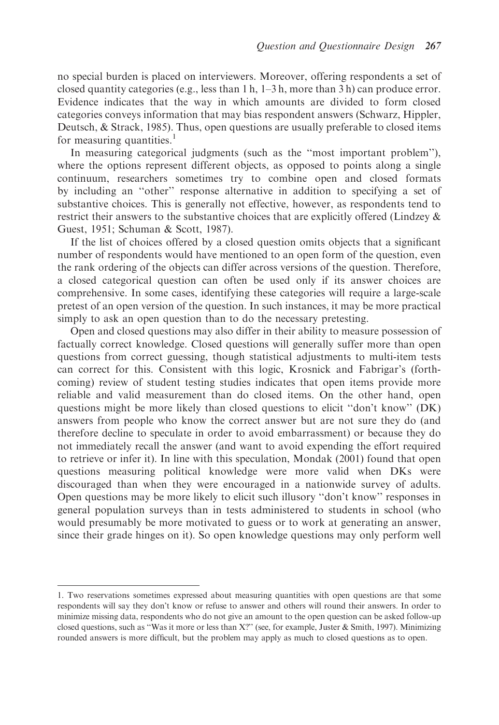no special burden is placed on interviewers. Moreover, offering respondents a set of closed quantity categories (e.g., less than 1 h, 1–3 h, more than 3 h) can produce error. Evidence indicates that the way in which amounts are divided to form closed categories conveys information that may bias respondent answers (Schwarz, Hippler, Deutsch, & Strack, 1985). Thus, open questions are usually preferable to closed items for measuring quantities.<sup>1</sup>

In measuring categorical judgments (such as the ''most important problem''), where the options represent different objects, as opposed to points along a single continuum, researchers sometimes try to combine open and closed formats by including an ''other'' response alternative in addition to specifying a set of substantive choices. This is generally not effective, however, as respondents tend to restrict their answers to the substantive choices that are explicitly offered (Lindzey & Guest, 1951; Schuman & Scott, 1987).

If the list of choices offered by a closed question omits objects that a significant number of respondents would have mentioned to an open form of the question, even the rank ordering of the objects can differ across versions of the question. Therefore, a closed categorical question can often be used only if its answer choices are comprehensive. In some cases, identifying these categories will require a large-scale pretest of an open version of the question. In such instances, it may be more practical simply to ask an open question than to do the necessary pretesting.

Open and closed questions may also differ in their ability to measure possession of factually correct knowledge. Closed questions will generally suffer more than open questions from correct guessing, though statistical adjustments to multi-item tests can correct for this. Consistent with this logic, Krosnick and Fabrigar's (forthcoming) review of student testing studies indicates that open items provide more reliable and valid measurement than do closed items. On the other hand, open questions might be more likely than closed questions to elicit ''don't know'' (DK) answers from people who know the correct answer but are not sure they do (and therefore decline to speculate in order to avoid embarrassment) or because they do not immediately recall the answer (and want to avoid expending the effort required to retrieve or infer it). In line with this speculation, Mondak (2001) found that open questions measuring political knowledge were more valid when DKs were discouraged than when they were encouraged in a nationwide survey of adults. Open questions may be more likely to elicit such illusory ''don't know'' responses in general population surveys than in tests administered to students in school (who would presumably be more motivated to guess or to work at generating an answer, since their grade hinges on it). So open knowledge questions may only perform well

<sup>1.</sup> Two reservations sometimes expressed about measuring quantities with open questions are that some respondents will say they don't know or refuse to answer and others will round their answers. In order to minimize missing data, respondents who do not give an amount to the open question can be asked follow-up closed questions, such as ''Was it more or less than X?'' (see, for example, Juster & Smith, 1997). Minimizing rounded answers is more difficult, but the problem may apply as much to closed questions as to open.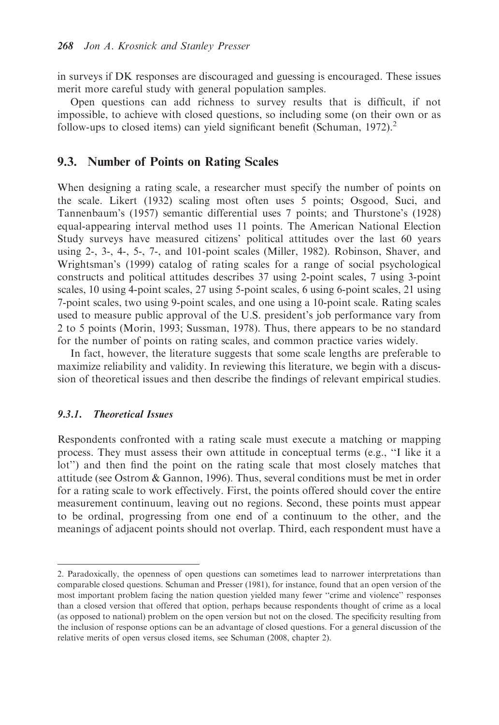in surveys if DK responses are discouraged and guessing is encouraged. These issues merit more careful study with general population samples.

Open questions can add richness to survey results that is difficult, if not impossible, to achieve with closed questions, so including some (on their own or as follow-ups to closed items) can yield significant benefit (Schuman, 1972).<sup>2</sup>

## 9.3. Number of Points on Rating Scales

When designing a rating scale, a researcher must specify the number of points on the scale. Likert (1932) scaling most often uses 5 points; Osgood, Suci, and Tannenbaum's (1957) semantic differential uses 7 points; and Thurstone's (1928) equal-appearing interval method uses 11 points. The American National Election Study surveys have measured citizens' political attitudes over the last 60 years using 2-, 3-, 4-, 5-, 7-, and 101-point scales (Miller, 1982). Robinson, Shaver, and Wrightsman's (1999) catalog of rating scales for a range of social psychological constructs and political attitudes describes 37 using 2-point scales, 7 using 3-point scales, 10 using 4-point scales, 27 using 5-point scales, 6 using 6-point scales, 21 using 7-point scales, two using 9-point scales, and one using a 10-point scale. Rating scales used to measure public approval of the U.S. president's job performance vary from 2 to 5 points (Morin, 1993; Sussman, 1978). Thus, there appears to be no standard for the number of points on rating scales, and common practice varies widely.

In fact, however, the literature suggests that some scale lengths are preferable to maximize reliability and validity. In reviewing this literature, we begin with a discussion of theoretical issues and then describe the findings of relevant empirical studies.

#### 9.3.1. Theoretical Issues

Respondents confronted with a rating scale must execute a matching or mapping process. They must assess their own attitude in conceptual terms (e.g., ''I like it a lot'') and then find the point on the rating scale that most closely matches that attitude (see Ostrom & Gannon, 1996). Thus, several conditions must be met in order for a rating scale to work effectively. First, the points offered should cover the entire measurement continuum, leaving out no regions. Second, these points must appear to be ordinal, progressing from one end of a continuum to the other, and the meanings of adjacent points should not overlap. Third, each respondent must have a

<sup>2.</sup> Paradoxically, the openness of open questions can sometimes lead to narrower interpretations than comparable closed questions. Schuman and Presser (1981), for instance, found that an open version of the most important problem facing the nation question yielded many fewer ''crime and violence'' responses than a closed version that offered that option, perhaps because respondents thought of crime as a local (as opposed to national) problem on the open version but not on the closed. The specificity resulting from the inclusion of response options can be an advantage of closed questions. For a general discussion of the relative merits of open versus closed items, see Schuman (2008, chapter 2).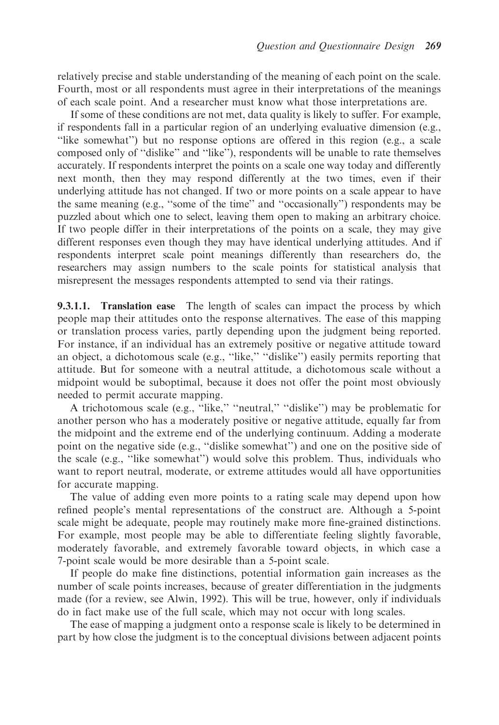relatively precise and stable understanding of the meaning of each point on the scale. Fourth, most or all respondents must agree in their interpretations of the meanings of each scale point. And a researcher must know what those interpretations are.

If some of these conditions are not met, data quality is likely to suffer. For example, if respondents fall in a particular region of an underlying evaluative dimension (e.g., "like somewhat") but no response options are offered in this region (e.g., a scale composed only of ''dislike'' and ''like''), respondents will be unable to rate themselves accurately. If respondents interpret the points on a scale one way today and differently next month, then they may respond differently at the two times, even if their underlying attitude has not changed. If two or more points on a scale appear to have the same meaning (e.g., ''some of the time'' and ''occasionally'') respondents may be puzzled about which one to select, leaving them open to making an arbitrary choice. If two people differ in their interpretations of the points on a scale, they may give different responses even though they may have identical underlying attitudes. And if respondents interpret scale point meanings differently than researchers do, the researchers may assign numbers to the scale points for statistical analysis that misrepresent the messages respondents attempted to send via their ratings.

9.3.1.1. Translation ease The length of scales can impact the process by which people map their attitudes onto the response alternatives. The ease of this mapping or translation process varies, partly depending upon the judgment being reported. For instance, if an individual has an extremely positive or negative attitude toward an object, a dichotomous scale (e.g., "like," "dislike") easily permits reporting that attitude. But for someone with a neutral attitude, a dichotomous scale without a midpoint would be suboptimal, because it does not offer the point most obviously needed to permit accurate mapping.

A trichotomous scale (e.g., ''like,'' ''neutral,'' ''dislike'') may be problematic for another person who has a moderately positive or negative attitude, equally far from the midpoint and the extreme end of the underlying continuum. Adding a moderate point on the negative side (e.g., ''dislike somewhat'') and one on the positive side of the scale (e.g., ''like somewhat'') would solve this problem. Thus, individuals who want to report neutral, moderate, or extreme attitudes would all have opportunities for accurate mapping.

The value of adding even more points to a rating scale may depend upon how refined people's mental representations of the construct are. Although a 5-point scale might be adequate, people may routinely make more fine-grained distinctions. For example, most people may be able to differentiate feeling slightly favorable, moderately favorable, and extremely favorable toward objects, in which case a 7-point scale would be more desirable than a 5-point scale.

If people do make fine distinctions, potential information gain increases as the number of scale points increases, because of greater differentiation in the judgments made (for a review, see Alwin, 1992). This will be true, however, only if individuals do in fact make use of the full scale, which may not occur with long scales.

The ease of mapping a judgment onto a response scale is likely to be determined in part by how close the judgment is to the conceptual divisions between adjacent points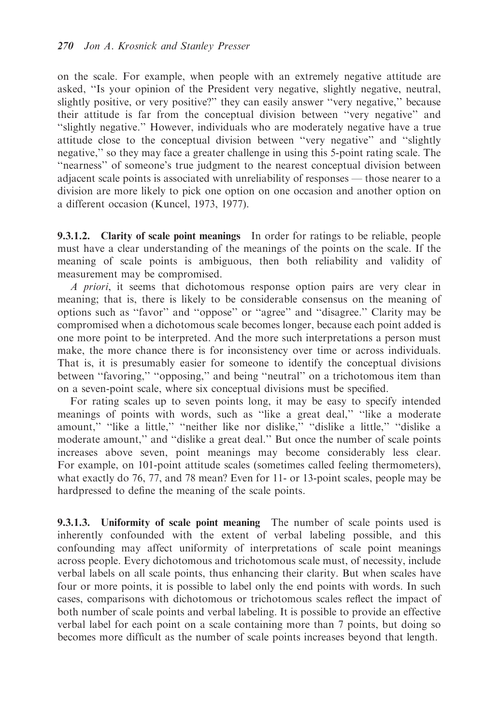on the scale. For example, when people with an extremely negative attitude are asked, ''Is your opinion of the President very negative, slightly negative, neutral, slightly positive, or very positive?'' they can easily answer ''very negative,'' because their attitude is far from the conceptual division between ''very negative'' and ''slightly negative.'' However, individuals who are moderately negative have a true attitude close to the conceptual division between ''very negative'' and ''slightly negative,'' so they may face a greater challenge in using this 5-point rating scale. The ''nearness'' of someone's true judgment to the nearest conceptual division between adjacent scale points is associated with unreliability of responses — those nearer to a division are more likely to pick one option on one occasion and another option on a different occasion (Kuncel, 1973, 1977).

9.3.1.2. Clarity of scale point meanings In order for ratings to be reliable, people must have a clear understanding of the meanings of the points on the scale. If the meaning of scale points is ambiguous, then both reliability and validity of measurement may be compromised.

A priori, it seems that dichotomous response option pairs are very clear in meaning; that is, there is likely to be considerable consensus on the meaning of options such as ''favor'' and ''oppose'' or ''agree'' and ''disagree.'' Clarity may be compromised when a dichotomous scale becomes longer, because each point added is one more point to be interpreted. And the more such interpretations a person must make, the more chance there is for inconsistency over time or across individuals. That is, it is presumably easier for someone to identify the conceptual divisions between "favoring," "opposing," and being "neutral" on a trichotomous item than on a seven-point scale, where six conceptual divisions must be specified.

For rating scales up to seven points long, it may be easy to specify intended meanings of points with words, such as ''like a great deal,'' ''like a moderate amount," "like a little," "neither like nor dislike," "dislike a little," "dislike a moderate amount,'' and ''dislike a great deal.'' But once the number of scale points increases above seven, point meanings may become considerably less clear. For example, on 101-point attitude scales (sometimes called feeling thermometers), what exactly do 76, 77, and 78 mean? Even for 11- or 13-point scales, people may be hardpressed to define the meaning of the scale points.

9.3.1.3. Uniformity of scale point meaning The number of scale points used is inherently confounded with the extent of verbal labeling possible, and this confounding may affect uniformity of interpretations of scale point meanings across people. Every dichotomous and trichotomous scale must, of necessity, include verbal labels on all scale points, thus enhancing their clarity. But when scales have four or more points, it is possible to label only the end points with words. In such cases, comparisons with dichotomous or trichotomous scales reflect the impact of both number of scale points and verbal labeling. It is possible to provide an effective verbal label for each point on a scale containing more than 7 points, but doing so becomes more difficult as the number of scale points increases beyond that length.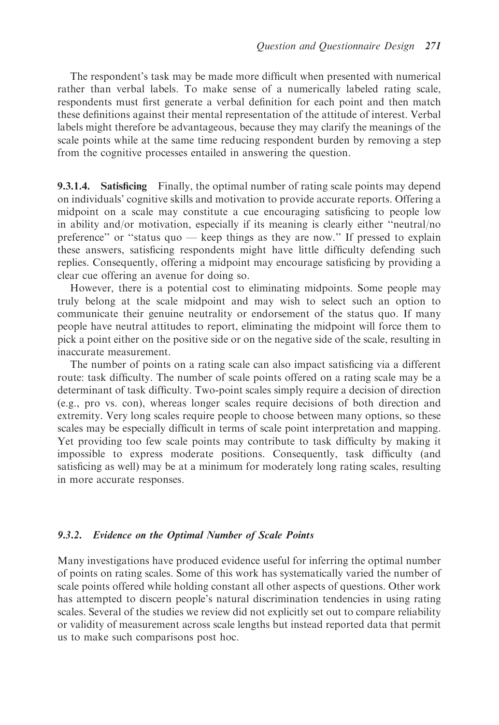The respondent's task may be made more difficult when presented with numerical rather than verbal labels. To make sense of a numerically labeled rating scale, respondents must first generate a verbal definition for each point and then match these definitions against their mental representation of the attitude of interest. Verbal labels might therefore be advantageous, because they may clarify the meanings of the scale points while at the same time reducing respondent burden by removing a step from the cognitive processes entailed in answering the question.

9.3.1.4. Satisficing Finally, the optimal number of rating scale points may depend on individuals' cognitive skills and motivation to provide accurate reports. Offering a midpoint on a scale may constitute a cue encouraging satisficing to people low in ability and/or motivation, especially if its meaning is clearly either ''neutral/no preference'' or ''status quo — keep things as they are now.'' If pressed to explain these answers, satisficing respondents might have little difficulty defending such replies. Consequently, offering a midpoint may encourage satisficing by providing a clear cue offering an avenue for doing so.

However, there is a potential cost to eliminating midpoints. Some people may truly belong at the scale midpoint and may wish to select such an option to communicate their genuine neutrality or endorsement of the status quo. If many people have neutral attitudes to report, eliminating the midpoint will force them to pick a point either on the positive side or on the negative side of the scale, resulting in inaccurate measurement.

The number of points on a rating scale can also impact satisficing via a different route: task difficulty. The number of scale points offered on a rating scale may be a determinant of task difficulty. Two-point scales simply require a decision of direction (e.g., pro vs. con), whereas longer scales require decisions of both direction and extremity. Very long scales require people to choose between many options, so these scales may be especially difficult in terms of scale point interpretation and mapping. Yet providing too few scale points may contribute to task difficulty by making it impossible to express moderate positions. Consequently, task difficulty (and satisficing as well) may be at a minimum for moderately long rating scales, resulting in more accurate responses.

#### 9.3.2. Evidence on the Optimal Number of Scale Points

Many investigations have produced evidence useful for inferring the optimal number of points on rating scales. Some of this work has systematically varied the number of scale points offered while holding constant all other aspects of questions. Other work has attempted to discern people's natural discrimination tendencies in using rating scales. Several of the studies we review did not explicitly set out to compare reliability or validity of measurement across scale lengths but instead reported data that permit us to make such comparisons post hoc.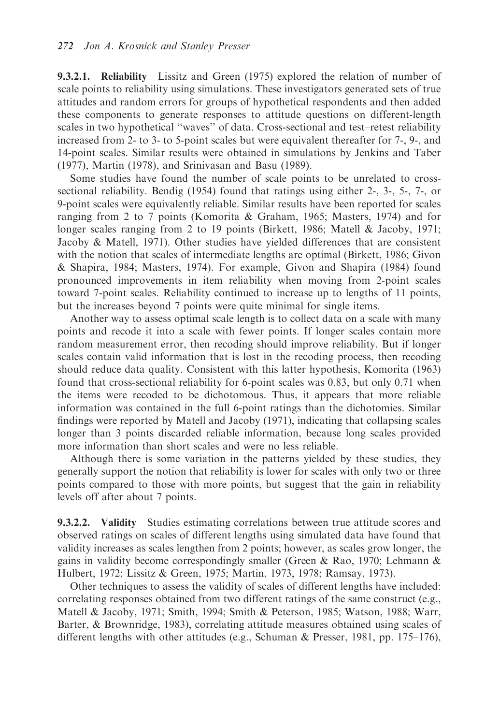9.3.2.1. Reliability Lissitz and Green (1975) explored the relation of number of scale points to reliability using simulations. These investigators generated sets of true attitudes and random errors for groups of hypothetical respondents and then added these components to generate responses to attitude questions on different-length scales in two hypothetical ''waves'' of data. Cross-sectional and test–retest reliability increased from 2- to 3- to 5-point scales but were equivalent thereafter for 7-, 9-, and 14-point scales. Similar results were obtained in simulations by Jenkins and Taber (1977), Martin (1978), and Srinivasan and Basu (1989).

Some studies have found the number of scale points to be unrelated to crosssectional reliability. Bendig (1954) found that ratings using either 2-, 3-, 5-, 7-, or 9-point scales were equivalently reliable. Similar results have been reported for scales ranging from 2 to 7 points (Komorita & Graham, 1965; Masters, 1974) and for longer scales ranging from 2 to 19 points (Birkett, 1986; Matell & Jacoby, 1971; Jacoby & Matell, 1971). Other studies have yielded differences that are consistent with the notion that scales of intermediate lengths are optimal (Birkett, 1986; Givon & Shapira, 1984; Masters, 1974). For example, Givon and Shapira (1984) found pronounced improvements in item reliability when moving from 2-point scales toward 7-point scales. Reliability continued to increase up to lengths of 11 points, but the increases beyond 7 points were quite minimal for single items.

Another way to assess optimal scale length is to collect data on a scale with many points and recode it into a scale with fewer points. If longer scales contain more random measurement error, then recoding should improve reliability. But if longer scales contain valid information that is lost in the recoding process, then recoding should reduce data quality. Consistent with this latter hypothesis, Komorita (1963) found that cross-sectional reliability for 6-point scales was 0.83, but only 0.71 when the items were recoded to be dichotomous. Thus, it appears that more reliable information was contained in the full 6-point ratings than the dichotomies. Similar findings were reported by Matell and Jacoby (1971), indicating that collapsing scales longer than 3 points discarded reliable information, because long scales provided more information than short scales and were no less reliable.

Although there is some variation in the patterns yielded by these studies, they generally support the notion that reliability is lower for scales with only two or three points compared to those with more points, but suggest that the gain in reliability levels off after about 7 points.

9.3.2.2. Validity Studies estimating correlations between true attitude scores and observed ratings on scales of different lengths using simulated data have found that validity increases as scales lengthen from 2 points; however, as scales grow longer, the gains in validity become correspondingly smaller (Green & Rao, 1970; Lehmann & Hulbert, 1972; Lissitz & Green, 1975; Martin, 1973, 1978; Ramsay, 1973).

Other techniques to assess the validity of scales of different lengths have included: correlating responses obtained from two different ratings of the same construct (e.g., Matell & Jacoby, 1971; Smith, 1994; Smith & Peterson, 1985; Watson, 1988; Warr, Barter, & Brownridge, 1983), correlating attitude measures obtained using scales of different lengths with other attitudes (e.g., Schuman & Presser, 1981, pp. 175–176),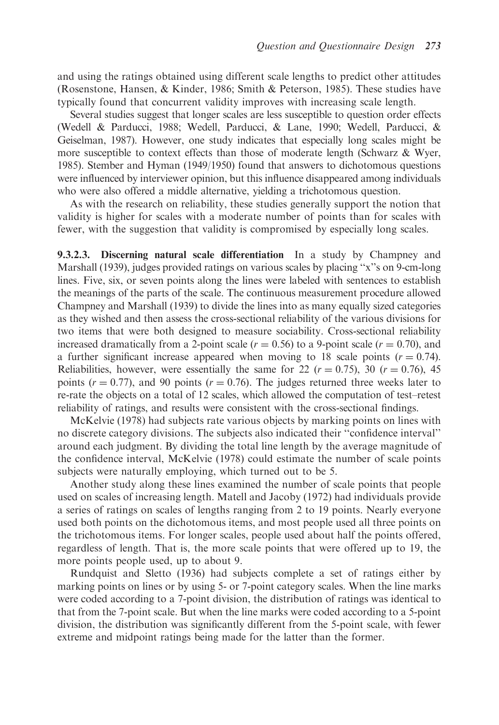and using the ratings obtained using different scale lengths to predict other attitudes (Rosenstone, Hansen, & Kinder, 1986; Smith & Peterson, 1985). These studies have typically found that concurrent validity improves with increasing scale length.

Several studies suggest that longer scales are less susceptible to question order effects (Wedell & Parducci, 1988; Wedell, Parducci, & Lane, 1990; Wedell, Parducci, & Geiselman, 1987). However, one study indicates that especially long scales might be more susceptible to context effects than those of moderate length (Schwarz & Wyer, 1985). Stember and Hyman (1949/1950) found that answers to dichotomous questions were influenced by interviewer opinion, but this influence disappeared among individuals who were also offered a middle alternative, yielding a trichotomous question.

As with the research on reliability, these studies generally support the notion that validity is higher for scales with a moderate number of points than for scales with fewer, with the suggestion that validity is compromised by especially long scales.

9.3.2.3. Discerning natural scale differentiation In a study by Champney and Marshall (1939), judges provided ratings on various scales by placing ''x''s on 9-cm-long lines. Five, six, or seven points along the lines were labeled with sentences to establish the meanings of the parts of the scale. The continuous measurement procedure allowed Champney and Marshall (1939) to divide the lines into as many equally sized categories as they wished and then assess the cross-sectional reliability of the various divisions for two items that were both designed to measure sociability. Cross-sectional reliability increased dramatically from a 2-point scale ( $r = 0.56$ ) to a 9-point scale ( $r = 0.70$ ), and a further significant increase appeared when moving to 18 scale points  $(r = 0.74)$ . Reliabilities, however, were essentially the same for 22 ( $r = 0.75$ ), 30 ( $r = 0.76$ ), 45 points ( $r = 0.77$ ), and 90 points ( $r = 0.76$ ). The judges returned three weeks later to re-rate the objects on a total of 12 scales, which allowed the computation of test–retest reliability of ratings, and results were consistent with the cross-sectional findings.

McKelvie (1978) had subjects rate various objects by marking points on lines with no discrete category divisions. The subjects also indicated their ''confidence interval'' around each judgment. By dividing the total line length by the average magnitude of the confidence interval, McKelvie (1978) could estimate the number of scale points subjects were naturally employing, which turned out to be 5.

Another study along these lines examined the number of scale points that people used on scales of increasing length. Matell and Jacoby (1972) had individuals provide a series of ratings on scales of lengths ranging from 2 to 19 points. Nearly everyone used both points on the dichotomous items, and most people used all three points on the trichotomous items. For longer scales, people used about half the points offered, regardless of length. That is, the more scale points that were offered up to 19, the more points people used, up to about 9.

Rundquist and Sletto (1936) had subjects complete a set of ratings either by marking points on lines or by using 5- or 7-point category scales. When the line marks were coded according to a 7-point division, the distribution of ratings was identical to that from the 7-point scale. But when the line marks were coded according to a 5-point division, the distribution was significantly different from the 5-point scale, with fewer extreme and midpoint ratings being made for the latter than the former.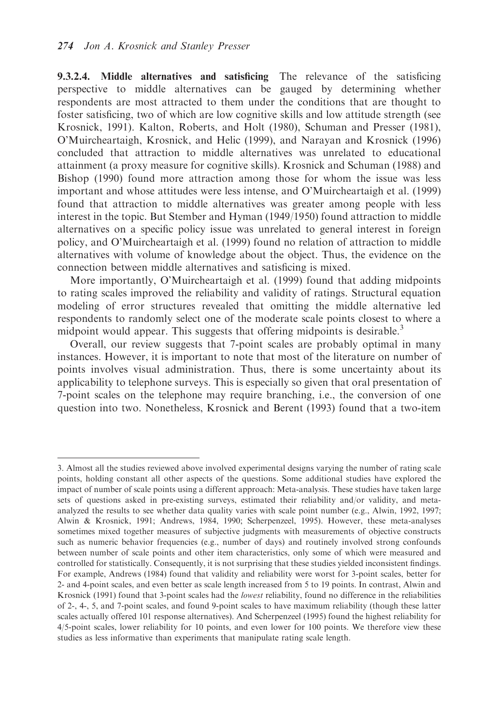9.3.2.4. Middle alternatives and satisficing The relevance of the satisficing perspective to middle alternatives can be gauged by determining whether respondents are most attracted to them under the conditions that are thought to foster satisficing, two of which are low cognitive skills and low attitude strength (see Krosnick, 1991). Kalton, Roberts, and Holt (1980), Schuman and Presser (1981), O'Muircheartaigh, Krosnick, and Helic (1999), and Narayan and Krosnick (1996) concluded that attraction to middle alternatives was unrelated to educational attainment (a proxy measure for cognitive skills). Krosnick and Schuman (1988) and Bishop (1990) found more attraction among those for whom the issue was less important and whose attitudes were less intense, and O'Muircheartaigh et al. (1999) found that attraction to middle alternatives was greater among people with less interest in the topic. But Stember and Hyman (1949/1950) found attraction to middle alternatives on a specific policy issue was unrelated to general interest in foreign policy, and O'Muircheartaigh et al. (1999) found no relation of attraction to middle alternatives with volume of knowledge about the object. Thus, the evidence on the connection between middle alternatives and satisficing is mixed.

More importantly, O'Muircheartaigh et al. (1999) found that adding midpoints to rating scales improved the reliability and validity of ratings. Structural equation modeling of error structures revealed that omitting the middle alternative led respondents to randomly select one of the moderate scale points closest to where a midpoint would appear. This suggests that offering midpoints is desirable.<sup>3</sup>

Overall, our review suggests that 7-point scales are probably optimal in many instances. However, it is important to note that most of the literature on number of points involves visual administration. Thus, there is some uncertainty about its applicability to telephone surveys. This is especially so given that oral presentation of 7-point scales on the telephone may require branching, i.e., the conversion of one question into two. Nonetheless, Krosnick and Berent (1993) found that a two-item

<sup>3.</sup> Almost all the studies reviewed above involved experimental designs varying the number of rating scale points, holding constant all other aspects of the questions. Some additional studies have explored the impact of number of scale points using a different approach: Meta-analysis. These studies have taken large sets of questions asked in pre-existing surveys, estimated their reliability and/or validity, and metaanalyzed the results to see whether data quality varies with scale point number (e.g., Alwin, 1992, 1997; Alwin & Krosnick, 1991; Andrews, 1984, 1990; Scherpenzeel, 1995). However, these meta-analyses sometimes mixed together measures of subjective judgments with measurements of objective constructs such as numeric behavior frequencies (e.g., number of days) and routinely involved strong confounds between number of scale points and other item characteristics, only some of which were measured and controlled for statistically. Consequently, it is not surprising that these studies yielded inconsistent findings. For example, Andrews (1984) found that validity and reliability were worst for 3-point scales, better for 2- and 4-point scales, and even better as scale length increased from 5 to 19 points. In contrast, Alwin and Krosnick (1991) found that 3-point scales had the lowest reliability, found no difference in the reliabilities of 2-, 4-, 5, and 7-point scales, and found 9-point scales to have maximum reliability (though these latter scales actually offered 101 response alternatives). And Scherpenzeel (1995) found the highest reliability for 4/5-point scales, lower reliability for 10 points, and even lower for 100 points. We therefore view these studies as less informative than experiments that manipulate rating scale length.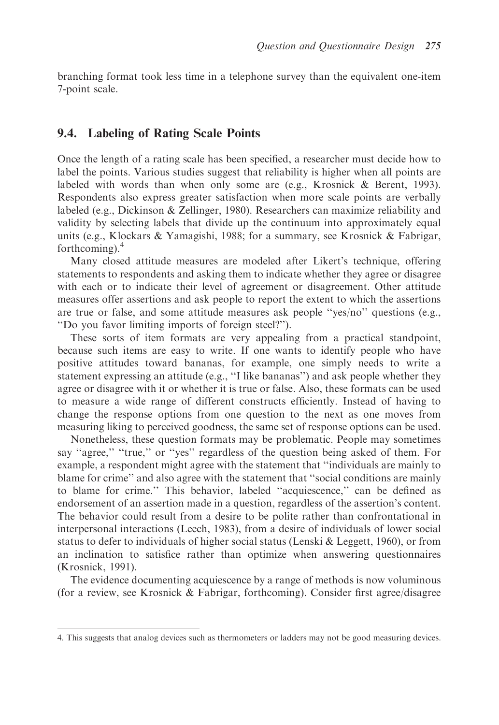branching format took less time in a telephone survey than the equivalent one-item 7-point scale.

## 9.4. Labeling of Rating Scale Points

Once the length of a rating scale has been specified, a researcher must decide how to label the points. Various studies suggest that reliability is higher when all points are labeled with words than when only some are (e.g., Krosnick & Berent, 1993). Respondents also express greater satisfaction when more scale points are verbally labeled (e.g., Dickinson & Zellinger, 1980). Researchers can maximize reliability and validity by selecting labels that divide up the continuum into approximately equal units (e.g., Klockars & Yamagishi, 1988; for a summary, see Krosnick & Fabrigar, forthcoming).<sup>4</sup>

Many closed attitude measures are modeled after Likert's technique, offering statements to respondents and asking them to indicate whether they agree or disagree with each or to indicate their level of agreement or disagreement. Other attitude measures offer assertions and ask people to report the extent to which the assertions are true or false, and some attitude measures ask people ''yes/no'' questions (e.g., ''Do you favor limiting imports of foreign steel?'').

These sorts of item formats are very appealing from a practical standpoint, because such items are easy to write. If one wants to identify people who have positive attitudes toward bananas, for example, one simply needs to write a statement expressing an attitude (e.g., ''I like bananas'') and ask people whether they agree or disagree with it or whether it is true or false. Also, these formats can be used to measure a wide range of different constructs efficiently. Instead of having to change the response options from one question to the next as one moves from measuring liking to perceived goodness, the same set of response options can be used.

Nonetheless, these question formats may be problematic. People may sometimes say ''agree,'' ''true,'' or ''yes'' regardless of the question being asked of them. For example, a respondent might agree with the statement that ''individuals are mainly to blame for crime'' and also agree with the statement that ''social conditions are mainly to blame for crime.'' This behavior, labeled ''acquiescence,'' can be defined as endorsement of an assertion made in a question, regardless of the assertion's content. The behavior could result from a desire to be polite rather than confrontational in interpersonal interactions (Leech, 1983), from a desire of individuals of lower social status to defer to individuals of higher social status (Lenski & Leggett, 1960), or from an inclination to satisfice rather than optimize when answering questionnaires (Krosnick, 1991).

The evidence documenting acquiescence by a range of methods is now voluminous (for a review, see Krosnick & Fabrigar, forthcoming). Consider first agree/disagree

<sup>4.</sup> This suggests that analog devices such as thermometers or ladders may not be good measuring devices.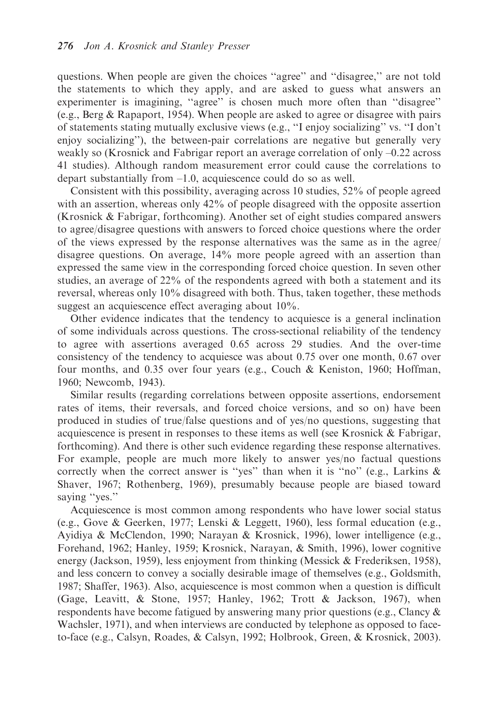questions. When people are given the choices ''agree'' and ''disagree,'' are not told the statements to which they apply, and are asked to guess what answers an experimenter is imagining, ''agree'' is chosen much more often than ''disagree'' (e.g., Berg & Rapaport, 1954). When people are asked to agree or disagree with pairs of statements stating mutually exclusive views (e.g., ''I enjoy socializing'' vs. ''I don't enjoy socializing''), the between-pair correlations are negative but generally very weakly so (Krosnick and Fabrigar report an average correlation of only –0.22 across 41 studies). Although random measurement error could cause the correlations to depart substantially from –1.0, acquiescence could do so as well.

Consistent with this possibility, averaging across 10 studies, 52% of people agreed with an assertion, whereas only 42% of people disagreed with the opposite assertion (Krosnick & Fabrigar, forthcoming). Another set of eight studies compared answers to agree/disagree questions with answers to forced choice questions where the order of the views expressed by the response alternatives was the same as in the agree/ disagree questions. On average, 14% more people agreed with an assertion than expressed the same view in the corresponding forced choice question. In seven other studies, an average of 22% of the respondents agreed with both a statement and its reversal, whereas only 10% disagreed with both. Thus, taken together, these methods suggest an acquiescence effect averaging about 10%.

Other evidence indicates that the tendency to acquiesce is a general inclination of some individuals across questions. The cross-sectional reliability of the tendency to agree with assertions averaged 0.65 across 29 studies. And the over-time consistency of the tendency to acquiesce was about 0.75 over one month, 0.67 over four months, and 0.35 over four years (e.g., Couch & Keniston, 1960; Hoffman, 1960; Newcomb, 1943).

Similar results (regarding correlations between opposite assertions, endorsement rates of items, their reversals, and forced choice versions, and so on) have been produced in studies of true/false questions and of yes/no questions, suggesting that acquiescence is present in responses to these items as well (see Krosnick & Fabrigar, forthcoming). And there is other such evidence regarding these response alternatives. For example, people are much more likely to answer yes/no factual questions correctly when the correct answer is "yes" than when it is "no" (e.g., Larkins  $\&$ Shaver, 1967; Rothenberg, 1969), presumably because people are biased toward saying "yes."

Acquiescence is most common among respondents who have lower social status (e.g., Gove & Geerken, 1977; Lenski & Leggett, 1960), less formal education (e.g., Ayidiya & McClendon, 1990; Narayan & Krosnick, 1996), lower intelligence (e.g., Forehand, 1962; Hanley, 1959; Krosnick, Narayan, & Smith, 1996), lower cognitive energy (Jackson, 1959), less enjoyment from thinking (Messick & Frederiksen, 1958), and less concern to convey a socially desirable image of themselves (e.g., Goldsmith, 1987; Shaffer, 1963). Also, acquiescence is most common when a question is difficult (Gage, Leavitt, & Stone, 1957; Hanley, 1962; Trott & Jackson, 1967), when respondents have become fatigued by answering many prior questions (e.g., Clancy & Wachsler, 1971), and when interviews are conducted by telephone as opposed to faceto-face (e.g., Calsyn, Roades, & Calsyn, 1992; Holbrook, Green, & Krosnick, 2003).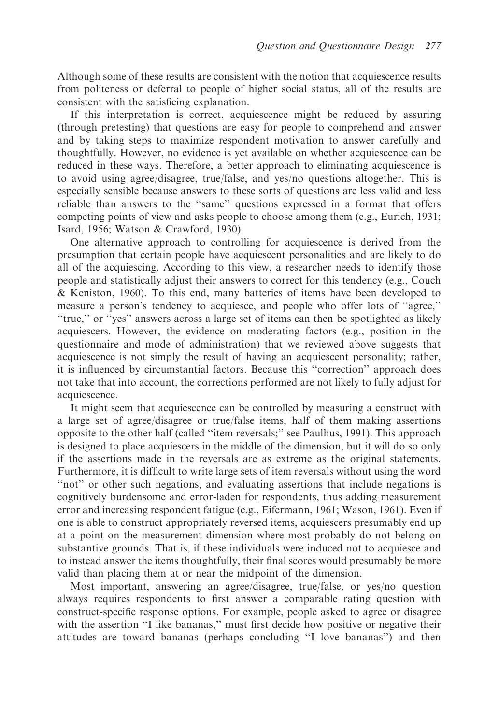Although some of these results are consistent with the notion that acquiescence results from politeness or deferral to people of higher social status, all of the results are consistent with the satisficing explanation.

If this interpretation is correct, acquiescence might be reduced by assuring (through pretesting) that questions are easy for people to comprehend and answer and by taking steps to maximize respondent motivation to answer carefully and thoughtfully. However, no evidence is yet available on whether acquiescence can be reduced in these ways. Therefore, a better approach to eliminating acquiescence is to avoid using agree/disagree, true/false, and yes/no questions altogether. This is especially sensible because answers to these sorts of questions are less valid and less reliable than answers to the ''same'' questions expressed in a format that offers competing points of view and asks people to choose among them (e.g., Eurich, 1931; Isard, 1956; Watson & Crawford, 1930).

One alternative approach to controlling for acquiescence is derived from the presumption that certain people have acquiescent personalities and are likely to do all of the acquiescing. According to this view, a researcher needs to identify those people and statistically adjust their answers to correct for this tendency (e.g., Couch & Keniston, 1960). To this end, many batteries of items have been developed to measure a person's tendency to acquiesce, and people who offer lots of ''agree,'' ''true,'' or ''yes'' answers across a large set of items can then be spotlighted as likely acquiescers. However, the evidence on moderating factors (e.g., position in the questionnaire and mode of administration) that we reviewed above suggests that acquiescence is not simply the result of having an acquiescent personality; rather, it is influenced by circumstantial factors. Because this ''correction'' approach does not take that into account, the corrections performed are not likely to fully adjust for acquiescence.

It might seem that acquiescence can be controlled by measuring a construct with a large set of agree/disagree or true/false items, half of them making assertions opposite to the other half (called ''item reversals;'' see Paulhus, 1991). This approach is designed to place acquiescers in the middle of the dimension, but it will do so only if the assertions made in the reversals are as extreme as the original statements. Furthermore, it is difficult to write large sets of item reversals without using the word ''not'' or other such negations, and evaluating assertions that include negations is cognitively burdensome and error-laden for respondents, thus adding measurement error and increasing respondent fatigue (e.g., Eifermann, 1961; Wason, 1961). Even if one is able to construct appropriately reversed items, acquiescers presumably end up at a point on the measurement dimension where most probably do not belong on substantive grounds. That is, if these individuals were induced not to acquiesce and to instead answer the items thoughtfully, their final scores would presumably be more valid than placing them at or near the midpoint of the dimension.

Most important, answering an agree/disagree, true/false, or yes/no question always requires respondents to first answer a comparable rating question with construct-specific response options. For example, people asked to agree or disagree with the assertion "I like bananas," must first decide how positive or negative their attitudes are toward bananas (perhaps concluding ''I love bananas'') and then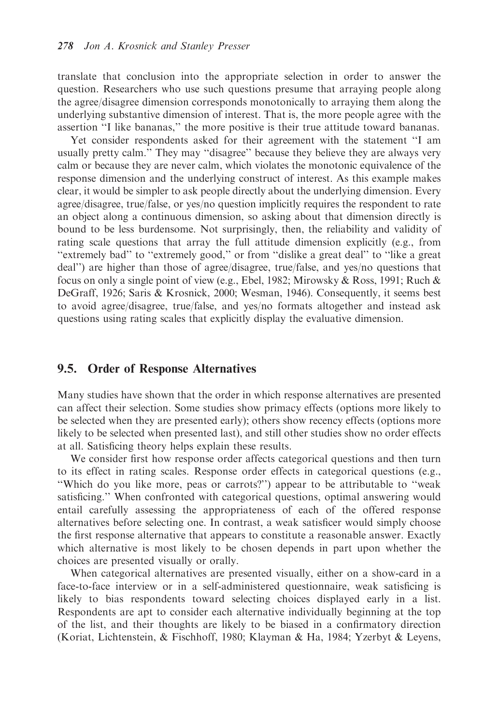translate that conclusion into the appropriate selection in order to answer the question. Researchers who use such questions presume that arraying people along the agree/disagree dimension corresponds monotonically to arraying them along the underlying substantive dimension of interest. That is, the more people agree with the assertion ''I like bananas,'' the more positive is their true attitude toward bananas.

Yet consider respondents asked for their agreement with the statement ''I am usually pretty calm.'' They may ''disagree'' because they believe they are always very calm or because they are never calm, which violates the monotonic equivalence of the response dimension and the underlying construct of interest. As this example makes clear, it would be simpler to ask people directly about the underlying dimension. Every agree/disagree, true/false, or yes/no question implicitly requires the respondent to rate an object along a continuous dimension, so asking about that dimension directly is bound to be less burdensome. Not surprisingly, then, the reliability and validity of rating scale questions that array the full attitude dimension explicitly (e.g., from ''extremely bad'' to ''extremely good,'' or from ''dislike a great deal'' to ''like a great deal'') are higher than those of agree/disagree, true/false, and yes/no questions that focus on only a single point of view (e.g., Ebel, 1982; Mirowsky & Ross, 1991; Ruch & DeGraff, 1926; Saris & Krosnick, 2000; Wesman, 1946). Consequently, it seems best to avoid agree/disagree, true/false, and yes/no formats altogether and instead ask questions using rating scales that explicitly display the evaluative dimension.

#### 9.5. Order of Response Alternatives

Many studies have shown that the order in which response alternatives are presented can affect their selection. Some studies show primacy effects (options more likely to be selected when they are presented early); others show recency effects (options more likely to be selected when presented last), and still other studies show no order effects at all. Satisficing theory helps explain these results.

We consider first how response order affects categorical questions and then turn to its effect in rating scales. Response order effects in categorical questions (e.g., ''Which do you like more, peas or carrots?'') appear to be attributable to ''weak satisficing.'' When confronted with categorical questions, optimal answering would entail carefully assessing the appropriateness of each of the offered response alternatives before selecting one. In contrast, a weak satisficer would simply choose the first response alternative that appears to constitute a reasonable answer. Exactly which alternative is most likely to be chosen depends in part upon whether the choices are presented visually or orally.

When categorical alternatives are presented visually, either on a show-card in a face-to-face interview or in a self-administered questionnaire, weak satisficing is likely to bias respondents toward selecting choices displayed early in a list. Respondents are apt to consider each alternative individually beginning at the top of the list, and their thoughts are likely to be biased in a confirmatory direction (Koriat, Lichtenstein, & Fischhoff, 1980; Klayman & Ha, 1984; Yzerbyt & Leyens,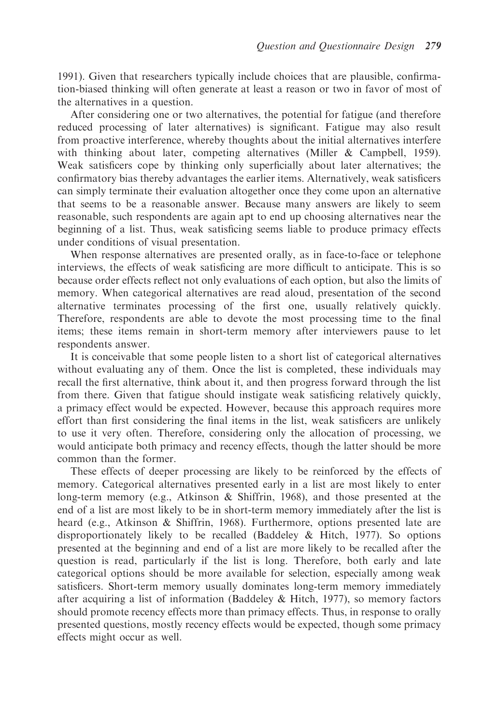1991). Given that researchers typically include choices that are plausible, confirmation-biased thinking will often generate at least a reason or two in favor of most of the alternatives in a question.

After considering one or two alternatives, the potential for fatigue (and therefore reduced processing of later alternatives) is significant. Fatigue may also result from proactive interference, whereby thoughts about the initial alternatives interfere with thinking about later, competing alternatives (Miller  $\&$  Campbell, 1959). Weak satisficers cope by thinking only superficially about later alternatives; the confirmatory bias thereby advantages the earlier items. Alternatively, weak satisficers can simply terminate their evaluation altogether once they come upon an alternative that seems to be a reasonable answer. Because many answers are likely to seem reasonable, such respondents are again apt to end up choosing alternatives near the beginning of a list. Thus, weak satisficing seems liable to produce primacy effects under conditions of visual presentation.

When response alternatives are presented orally, as in face-to-face or telephone interviews, the effects of weak satisficing are more difficult to anticipate. This is so because order effects reflect not only evaluations of each option, but also the limits of memory. When categorical alternatives are read aloud, presentation of the second alternative terminates processing of the first one, usually relatively quickly. Therefore, respondents are able to devote the most processing time to the final items; these items remain in short-term memory after interviewers pause to let respondents answer.

It is conceivable that some people listen to a short list of categorical alternatives without evaluating any of them. Once the list is completed, these individuals may recall the first alternative, think about it, and then progress forward through the list from there. Given that fatigue should instigate weak satisficing relatively quickly, a primacy effect would be expected. However, because this approach requires more effort than first considering the final items in the list, weak satisficers are unlikely to use it very often. Therefore, considering only the allocation of processing, we would anticipate both primacy and recency effects, though the latter should be more common than the former.

These effects of deeper processing are likely to be reinforced by the effects of memory. Categorical alternatives presented early in a list are most likely to enter long-term memory (e.g., Atkinson & Shiffrin, 1968), and those presented at the end of a list are most likely to be in short-term memory immediately after the list is heard (e.g., Atkinson & Shiffrin, 1968). Furthermore, options presented late are disproportionately likely to be recalled (Baddeley & Hitch, 1977). So options presented at the beginning and end of a list are more likely to be recalled after the question is read, particularly if the list is long. Therefore, both early and late categorical options should be more available for selection, especially among weak satisficers. Short-term memory usually dominates long-term memory immediately after acquiring a list of information (Baddeley  $& Hitch, 1977$ ), so memory factors should promote recency effects more than primacy effects. Thus, in response to orally presented questions, mostly recency effects would be expected, though some primacy effects might occur as well.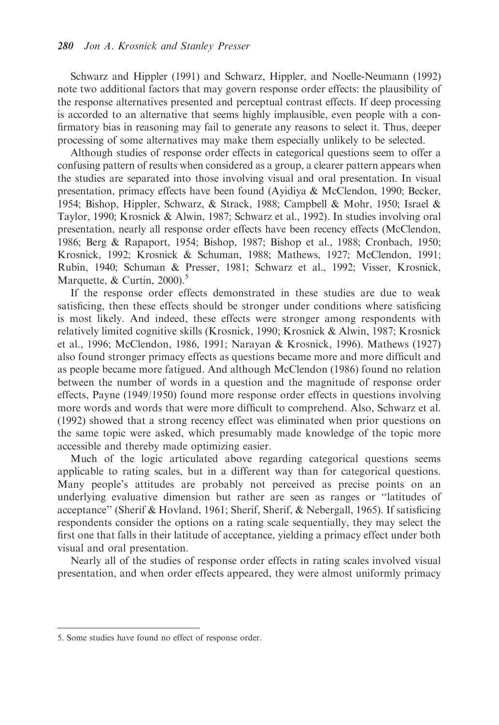Schwarz and Hippler (1991) and Schwarz, Hippler, and Noelle-Neumann (1992) note two additional factors that may govern response order effects: the plausibility of the response alternatives presented and perceptual contrast effects. If deep processing is accorded to an alternative that seems highly implausible, even people with a confirmatory bias in reasoning may fail to generate any reasons to select it. Thus, deeper processing of some alternatives may make them especially unlikely to be selected.

Although studies of response order effects in categorical questions seem to offer a confusing pattern of results when considered as a group, a clearer pattern appears when the studies are separated into those involving visual and oral presentation. In visual presentation, primacy effects have been found (Ayidiya & McClendon, 1990; Becker, 1954; Bishop, Hippler, Schwarz, & Strack, 1988; Campbell & Mohr, 1950; Israel & Taylor, 1990; Krosnick & Alwin, 1987; Schwarz et al., 1992). In studies involving oral presentation, nearly all response order effects have been recency effects (McClendon, 1986; Berg & Rapaport, 1954; Bishop, 1987; Bishop et al., 1988; Cronbach, 1950; Krosnick, 1992; Krosnick & Schuman, 1988; Mathews, 1927; McClendon, 1991; Rubin, 1940; Schuman & Presser, 1981; Schwarz et al., 1992; Visser, Krosnick, Marquette,  $&$  Curtin, 2000).<sup>5</sup>

If the response order effects demonstrated in these studies are due to weak satisficing, then these effects should be stronger under conditions where satisficing is most likely. And indeed, these effects were stronger among respondents with relatively limited cognitive skills (Krosnick, 1990; Krosnick & Alwin, 1987; Krosnick et al., 1996; McClendon, 1986, 1991; Narayan & Krosnick, 1996). Mathews (1927) also found stronger primacy effects as questions became more and more difficult and as people became more fatigued. And although McClendon (1986) found no relation between the number of words in a question and the magnitude of response order effects, Payne (1949/1950) found more response order effects in questions involving more words and words that were more difficult to comprehend. Also, Schwarz et al. (1992) showed that a strong recency effect was eliminated when prior questions on the same topic were asked, which presumably made knowledge of the topic more accessible and thereby made optimizing easier.

Much of the logic articulated above regarding categorical questions seems applicable to rating scales, but in a different way than for categorical questions. Many people's attitudes are probably not perceived as precise points on an underlying evaluative dimension but rather are seen as ranges or ''latitudes of acceptance'' (Sherif & Hovland, 1961; Sherif, Sherif, & Nebergall, 1965). If satisficing respondents consider the options on a rating scale sequentially, they may select the first one that falls in their latitude of acceptance, yielding a primacy effect under both visual and oral presentation.

Nearly all of the studies of response order effects in rating scales involved visual presentation, and when order effects appeared, they were almost uniformly primacy

<sup>5.</sup> Some studies have found no effect of response order.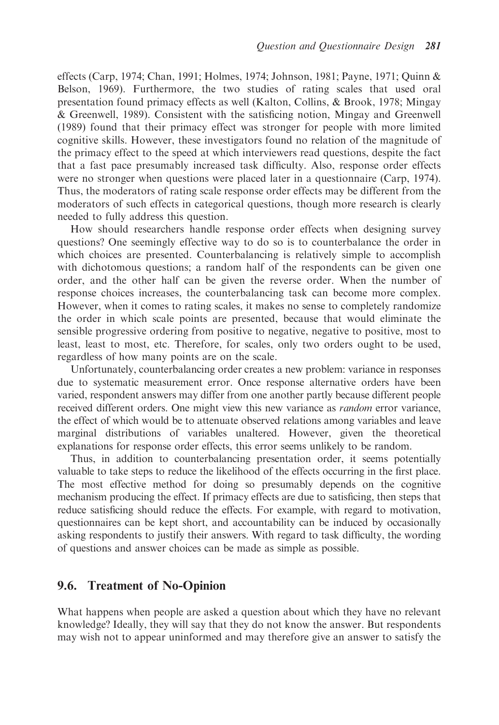effects (Carp, 1974; Chan, 1991; Holmes, 1974; Johnson, 1981; Payne, 1971; Quinn & Belson, 1969). Furthermore, the two studies of rating scales that used oral presentation found primacy effects as well (Kalton, Collins, & Brook, 1978; Mingay & Greenwell, 1989). Consistent with the satisficing notion, Mingay and Greenwell (1989) found that their primacy effect was stronger for people with more limited cognitive skills. However, these investigators found no relation of the magnitude of the primacy effect to the speed at which interviewers read questions, despite the fact that a fast pace presumably increased task difficulty. Also, response order effects were no stronger when questions were placed later in a questionnaire (Carp, 1974). Thus, the moderators of rating scale response order effects may be different from the moderators of such effects in categorical questions, though more research is clearly needed to fully address this question.

How should researchers handle response order effects when designing survey questions? One seemingly effective way to do so is to counterbalance the order in which choices are presented. Counterbalancing is relatively simple to accomplish with dichotomous questions; a random half of the respondents can be given one order, and the other half can be given the reverse order. When the number of response choices increases, the counterbalancing task can become more complex. However, when it comes to rating scales, it makes no sense to completely randomize the order in which scale points are presented, because that would eliminate the sensible progressive ordering from positive to negative, negative to positive, most to least, least to most, etc. Therefore, for scales, only two orders ought to be used, regardless of how many points are on the scale.

Unfortunately, counterbalancing order creates a new problem: variance in responses due to systematic measurement error. Once response alternative orders have been varied, respondent answers may differ from one another partly because different people received different orders. One might view this new variance as *random* error variance, the effect of which would be to attenuate observed relations among variables and leave marginal distributions of variables unaltered. However, given the theoretical explanations for response order effects, this error seems unlikely to be random.

Thus, in addition to counterbalancing presentation order, it seems potentially valuable to take steps to reduce the likelihood of the effects occurring in the first place. The most effective method for doing so presumably depends on the cognitive mechanism producing the effect. If primacy effects are due to satisficing, then steps that reduce satisficing should reduce the effects. For example, with regard to motivation, questionnaires can be kept short, and accountability can be induced by occasionally asking respondents to justify their answers. With regard to task difficulty, the wording of questions and answer choices can be made as simple as possible.

## 9.6. Treatment of No-Opinion

What happens when people are asked a question about which they have no relevant knowledge? Ideally, they will say that they do not know the answer. But respondents may wish not to appear uninformed and may therefore give an answer to satisfy the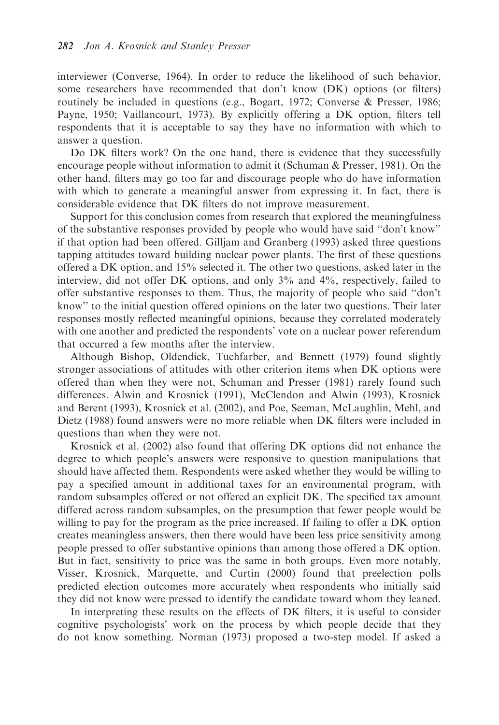interviewer (Converse, 1964). In order to reduce the likelihood of such behavior, some researchers have recommended that don't know (DK) options (or filters) routinely be included in questions (e.g., Bogart, 1972; Converse & Presser, 1986; Payne, 1950; Vaillancourt, 1973). By explicitly offering a DK option, filters tell respondents that it is acceptable to say they have no information with which to answer a question.

Do DK filters work? On the one hand, there is evidence that they successfully encourage people without information to admit it (Schuman & Presser, 1981). On the other hand, filters may go too far and discourage people who do have information with which to generate a meaningful answer from expressing it. In fact, there is considerable evidence that DK filters do not improve measurement.

Support for this conclusion comes from research that explored the meaningfulness of the substantive responses provided by people who would have said ''don't know'' if that option had been offered. Gilljam and Granberg (1993) asked three questions tapping attitudes toward building nuclear power plants. The first of these questions offered a DK option, and 15% selected it. The other two questions, asked later in the interview, did not offer DK options, and only 3% and 4%, respectively, failed to offer substantive responses to them. Thus, the majority of people who said ''don't know'' to the initial question offered opinions on the later two questions. Their later responses mostly reflected meaningful opinions, because they correlated moderately with one another and predicted the respondents' vote on a nuclear power referendum that occurred a few months after the interview.

Although Bishop, Oldendick, Tuchfarber, and Bennett (1979) found slightly stronger associations of attitudes with other criterion items when DK options were offered than when they were not, Schuman and Presser (1981) rarely found such differences. Alwin and Krosnick (1991), McClendon and Alwin (1993), Krosnick and Berent (1993), Krosnick et al. (2002), and Poe, Seeman, McLaughlin, Mehl, and Dietz (1988) found answers were no more reliable when DK filters were included in questions than when they were not.

Krosnick et al. (2002) also found that offering DK options did not enhance the degree to which people's answers were responsive to question manipulations that should have affected them. Respondents were asked whether they would be willing to pay a specified amount in additional taxes for an environmental program, with random subsamples offered or not offered an explicit DK. The specified tax amount differed across random subsamples, on the presumption that fewer people would be willing to pay for the program as the price increased. If failing to offer a DK option creates meaningless answers, then there would have been less price sensitivity among people pressed to offer substantive opinions than among those offered a DK option. But in fact, sensitivity to price was the same in both groups. Even more notably, Visser, Krosnick, Marquette, and Curtin (2000) found that preelection polls predicted election outcomes more accurately when respondents who initially said they did not know were pressed to identify the candidate toward whom they leaned.

In interpreting these results on the effects of DK filters, it is useful to consider cognitive psychologists' work on the process by which people decide that they do not know something. Norman (1973) proposed a two-step model. If asked a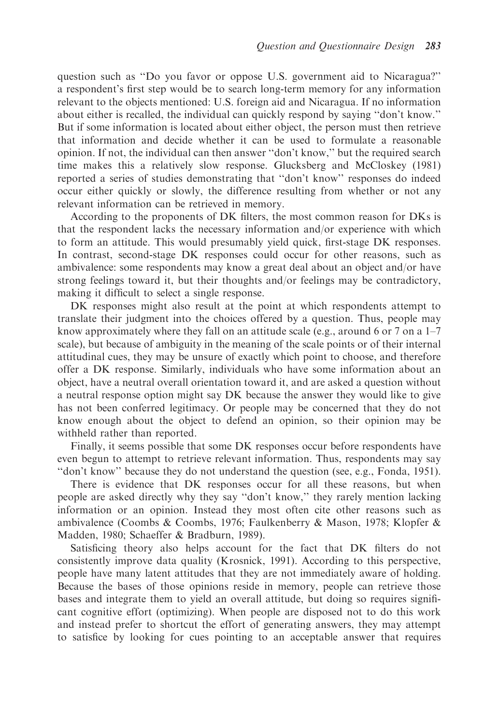question such as ''Do you favor or oppose U.S. government aid to Nicaragua?'' a respondent's first step would be to search long-term memory for any information relevant to the objects mentioned: U.S. foreign aid and Nicaragua. If no information about either is recalled, the individual can quickly respond by saying ''don't know.'' But if some information is located about either object, the person must then retrieve that information and decide whether it can be used to formulate a reasonable opinion. If not, the individual can then answer ''don't know,'' but the required search time makes this a relatively slow response. Glucksberg and McCloskey (1981) reported a series of studies demonstrating that ''don't know'' responses do indeed occur either quickly or slowly, the difference resulting from whether or not any relevant information can be retrieved in memory.

According to the proponents of DK filters, the most common reason for DKs is that the respondent lacks the necessary information and/or experience with which to form an attitude. This would presumably yield quick, first-stage DK responses. In contrast, second-stage DK responses could occur for other reasons, such as ambivalence: some respondents may know a great deal about an object and/or have strong feelings toward it, but their thoughts and/or feelings may be contradictory, making it difficult to select a single response.

DK responses might also result at the point at which respondents attempt to translate their judgment into the choices offered by a question. Thus, people may know approximately where they fall on an attitude scale (e.g., around 6 or 7 on a 1–7 scale), but because of ambiguity in the meaning of the scale points or of their internal attitudinal cues, they may be unsure of exactly which point to choose, and therefore offer a DK response. Similarly, individuals who have some information about an object, have a neutral overall orientation toward it, and are asked a question without a neutral response option might say DK because the answer they would like to give has not been conferred legitimacy. Or people may be concerned that they do not know enough about the object to defend an opinion, so their opinion may be withheld rather than reported.

Finally, it seems possible that some DK responses occur before respondents have even begun to attempt to retrieve relevant information. Thus, respondents may say ''don't know'' because they do not understand the question (see, e.g., Fonda, 1951).

There is evidence that DK responses occur for all these reasons, but when people are asked directly why they say ''don't know,'' they rarely mention lacking information or an opinion. Instead they most often cite other reasons such as ambivalence (Coombs & Coombs, 1976; Faulkenberry & Mason, 1978; Klopfer & Madden, 1980; Schaeffer & Bradburn, 1989).

Satisficing theory also helps account for the fact that DK filters do not consistently improve data quality (Krosnick, 1991). According to this perspective, people have many latent attitudes that they are not immediately aware of holding. Because the bases of those opinions reside in memory, people can retrieve those bases and integrate them to yield an overall attitude, but doing so requires significant cognitive effort (optimizing). When people are disposed not to do this work and instead prefer to shortcut the effort of generating answers, they may attempt to satisfice by looking for cues pointing to an acceptable answer that requires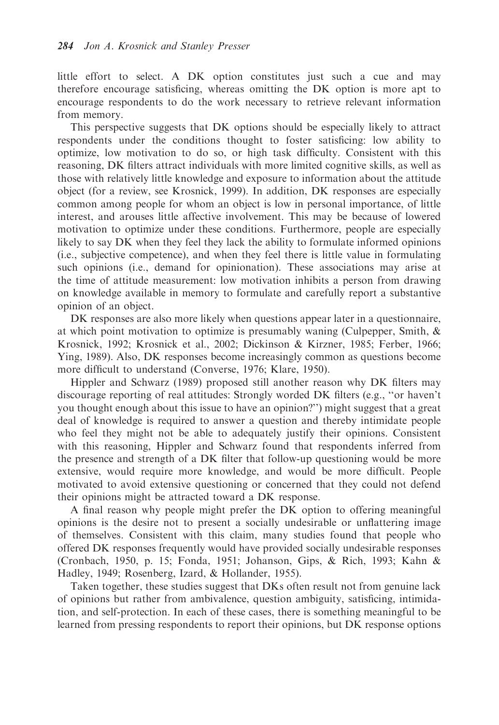little effort to select. A DK option constitutes just such a cue and may therefore encourage satisficing, whereas omitting the DK option is more apt to encourage respondents to do the work necessary to retrieve relevant information from memory.

This perspective suggests that DK options should be especially likely to attract respondents under the conditions thought to foster satisficing: low ability to optimize, low motivation to do so, or high task difficulty. Consistent with this reasoning, DK filters attract individuals with more limited cognitive skills, as well as those with relatively little knowledge and exposure to information about the attitude object (for a review, see Krosnick, 1999). In addition, DK responses are especially common among people for whom an object is low in personal importance, of little interest, and arouses little affective involvement. This may be because of lowered motivation to optimize under these conditions. Furthermore, people are especially likely to say DK when they feel they lack the ability to formulate informed opinions (i.e., subjective competence), and when they feel there is little value in formulating such opinions (i.e., demand for opinionation). These associations may arise at the time of attitude measurement: low motivation inhibits a person from drawing on knowledge available in memory to formulate and carefully report a substantive opinion of an object.

DK responses are also more likely when questions appear later in a questionnaire, at which point motivation to optimize is presumably waning (Culpepper, Smith, & Krosnick, 1992; Krosnick et al., 2002; Dickinson & Kirzner, 1985; Ferber, 1966; Ying, 1989). Also, DK responses become increasingly common as questions become more difficult to understand (Converse, 1976; Klare, 1950).

Hippler and Schwarz (1989) proposed still another reason why DK filters may discourage reporting of real attitudes: Strongly worded DK filters (e.g., ''or haven't you thought enough about this issue to have an opinion?'') might suggest that a great deal of knowledge is required to answer a question and thereby intimidate people who feel they might not be able to adequately justify their opinions. Consistent with this reasoning, Hippler and Schwarz found that respondents inferred from the presence and strength of a DK filter that follow-up questioning would be more extensive, would require more knowledge, and would be more difficult. People motivated to avoid extensive questioning or concerned that they could not defend their opinions might be attracted toward a DK response.

A final reason why people might prefer the DK option to offering meaningful opinions is the desire not to present a socially undesirable or unflattering image of themselves. Consistent with this claim, many studies found that people who offered DK responses frequently would have provided socially undesirable responses (Cronbach, 1950, p. 15; Fonda, 1951; Johanson, Gips, & Rich, 1993; Kahn & Hadley, 1949; Rosenberg, Izard, & Hollander, 1955).

Taken together, these studies suggest that DKs often result not from genuine lack of opinions but rather from ambivalence, question ambiguity, satisficing, intimidation, and self-protection. In each of these cases, there is something meaningful to be learned from pressing respondents to report their opinions, but DK response options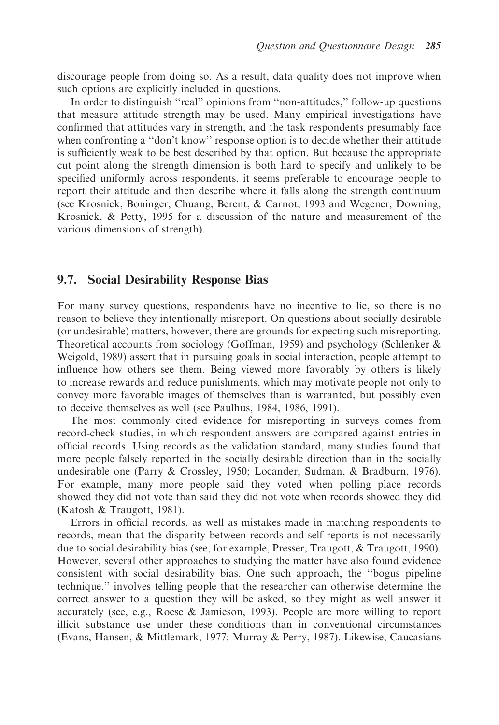discourage people from doing so. As a result, data quality does not improve when such options are explicitly included in questions.

In order to distinguish ''real'' opinions from ''non-attitudes,'' follow-up questions that measure attitude strength may be used. Many empirical investigations have confirmed that attitudes vary in strength, and the task respondents presumably face when confronting a ''don't know'' response option is to decide whether their attitude is sufficiently weak to be best described by that option. But because the appropriate cut point along the strength dimension is both hard to specify and unlikely to be specified uniformly across respondents, it seems preferable to encourage people to report their attitude and then describe where it falls along the strength continuum (see Krosnick, Boninger, Chuang, Berent, & Carnot, 1993 and Wegener, Downing, Krosnick, & Petty, 1995 for a discussion of the nature and measurement of the various dimensions of strength).

## 9.7. Social Desirability Response Bias

For many survey questions, respondents have no incentive to lie, so there is no reason to believe they intentionally misreport. On questions about socially desirable (or undesirable) matters, however, there are grounds for expecting such misreporting. Theoretical accounts from sociology (Goffman, 1959) and psychology (Schlenker & Weigold, 1989) assert that in pursuing goals in social interaction, people attempt to influence how others see them. Being viewed more favorably by others is likely to increase rewards and reduce punishments, which may motivate people not only to convey more favorable images of themselves than is warranted, but possibly even to deceive themselves as well (see Paulhus, 1984, 1986, 1991).

The most commonly cited evidence for misreporting in surveys comes from record-check studies, in which respondent answers are compared against entries in official records. Using records as the validation standard, many studies found that more people falsely reported in the socially desirable direction than in the socially undesirable one (Parry & Crossley, 1950; Locander, Sudman, & Bradburn, 1976). For example, many more people said they voted when polling place records showed they did not vote than said they did not vote when records showed they did (Katosh & Traugott, 1981).

Errors in official records, as well as mistakes made in matching respondents to records, mean that the disparity between records and self-reports is not necessarily due to social desirability bias (see, for example, Presser, Traugott, & Traugott, 1990). However, several other approaches to studying the matter have also found evidence consistent with social desirability bias. One such approach, the ''bogus pipeline technique,'' involves telling people that the researcher can otherwise determine the correct answer to a question they will be asked, so they might as well answer it accurately (see, e.g., Roese & Jamieson, 1993). People are more willing to report illicit substance use under these conditions than in conventional circumstances (Evans, Hansen, & Mittlemark, 1977; Murray & Perry, 1987). Likewise, Caucasians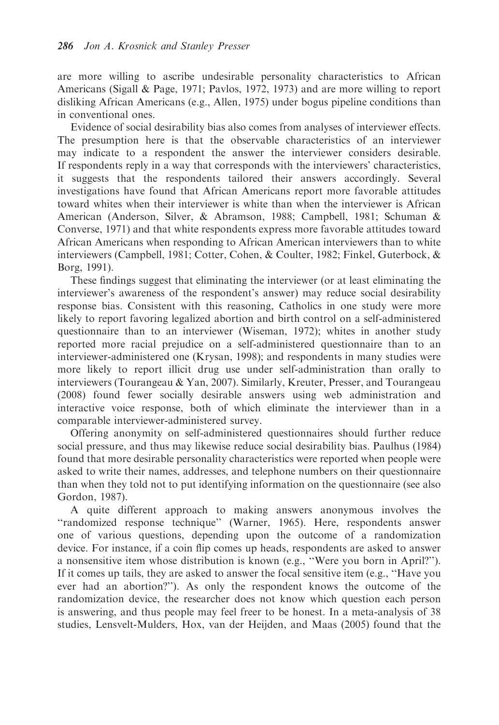are more willing to ascribe undesirable personality characteristics to African Americans (Sigall & Page, 1971; Pavlos, 1972, 1973) and are more willing to report disliking African Americans (e.g., Allen, 1975) under bogus pipeline conditions than in conventional ones.

Evidence of social desirability bias also comes from analyses of interviewer effects. The presumption here is that the observable characteristics of an interviewer may indicate to a respondent the answer the interviewer considers desirable. If respondents reply in a way that corresponds with the interviewers' characteristics, it suggests that the respondents tailored their answers accordingly. Several investigations have found that African Americans report more favorable attitudes toward whites when their interviewer is white than when the interviewer is African American (Anderson, Silver, & Abramson, 1988; Campbell, 1981; Schuman & Converse, 1971) and that white respondents express more favorable attitudes toward African Americans when responding to African American interviewers than to white interviewers (Campbell, 1981; Cotter, Cohen, & Coulter, 1982; Finkel, Guterbock, & Borg, 1991).

These findings suggest that eliminating the interviewer (or at least eliminating the interviewer's awareness of the respondent's answer) may reduce social desirability response bias. Consistent with this reasoning, Catholics in one study were more likely to report favoring legalized abortion and birth control on a self-administered questionnaire than to an interviewer (Wiseman, 1972); whites in another study reported more racial prejudice on a self-administered questionnaire than to an interviewer-administered one (Krysan, 1998); and respondents in many studies were more likely to report illicit drug use under self-administration than orally to interviewers (Tourangeau & Yan, 2007). Similarly, Kreuter, Presser, and Tourangeau (2008) found fewer socially desirable answers using web administration and interactive voice response, both of which eliminate the interviewer than in a comparable interviewer-administered survey.

Offering anonymity on self-administered questionnaires should further reduce social pressure, and thus may likewise reduce social desirability bias. Paulhus (1984) found that more desirable personality characteristics were reported when people were asked to write their names, addresses, and telephone numbers on their questionnaire than when they told not to put identifying information on the questionnaire (see also Gordon, 1987).

A quite different approach to making answers anonymous involves the ''randomized response technique'' (Warner, 1965). Here, respondents answer one of various questions, depending upon the outcome of a randomization device. For instance, if a coin flip comes up heads, respondents are asked to answer a nonsensitive item whose distribution is known (e.g., ''Were you born in April?''). If it comes up tails, they are asked to answer the focal sensitive item (e.g., ''Have you ever had an abortion?''). As only the respondent knows the outcome of the randomization device, the researcher does not know which question each person is answering, and thus people may feel freer to be honest. In a meta-analysis of 38 studies, Lensvelt-Mulders, Hox, van der Heijden, and Maas (2005) found that the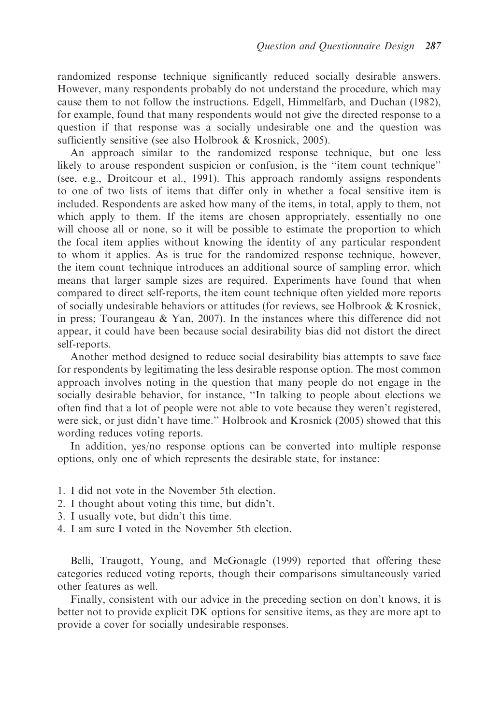randomized response technique significantly reduced socially desirable answers. However, many respondents probably do not understand the procedure, which may cause them to not follow the instructions. Edgell, Himmelfarb, and Duchan (1982), for example, found that many respondents would not give the directed response to a question if that response was a socially undesirable one and the question was sufficiently sensitive (see also Holbrook & Krosnick, 2005).

An approach similar to the randomized response technique, but one less likely to arouse respondent suspicion or confusion, is the ''item count technique'' (see, e.g., Droitcour et al., 1991). This approach randomly assigns respondents to one of two lists of items that differ only in whether a focal sensitive item is included. Respondents are asked how many of the items, in total, apply to them, not which apply to them. If the items are chosen appropriately, essentially no one will choose all or none, so it will be possible to estimate the proportion to which the focal item applies without knowing the identity of any particular respondent to whom it applies. As is true for the randomized response technique, however, the item count technique introduces an additional source of sampling error, which means that larger sample sizes are required. Experiments have found that when compared to direct self-reports, the item count technique often yielded more reports of socially undesirable behaviors or attitudes (for reviews, see Holbrook & Krosnick, in press; Tourangeau & Yan, 2007). In the instances where this difference did not appear, it could have been because social desirability bias did not distort the direct self-reports.

Another method designed to reduce social desirability bias attempts to save face for respondents by legitimating the less desirable response option. The most common approach involves noting in the question that many people do not engage in the socially desirable behavior, for instance, ''In talking to people about elections we often find that a lot of people were not able to vote because they weren't registered, were sick, or just didn't have time.'' Holbrook and Krosnick (2005) showed that this wording reduces voting reports.

In addition, yes/no response options can be converted into multiple response options, only one of which represents the desirable state, for instance:

- 1. I did not vote in the November 5th election.
- 2. I thought about voting this time, but didn't.
- 3. I usually vote, but didn't this time.
- 4. I am sure I voted in the November 5th election.

Belli, Traugott, Young, and McGonagle (1999) reported that offering these categories reduced voting reports, though their comparisons simultaneously varied other features as well.

Finally, consistent with our advice in the preceding section on don't knows, it is better not to provide explicit DK options for sensitive items, as they are more apt to provide a cover for socially undesirable responses.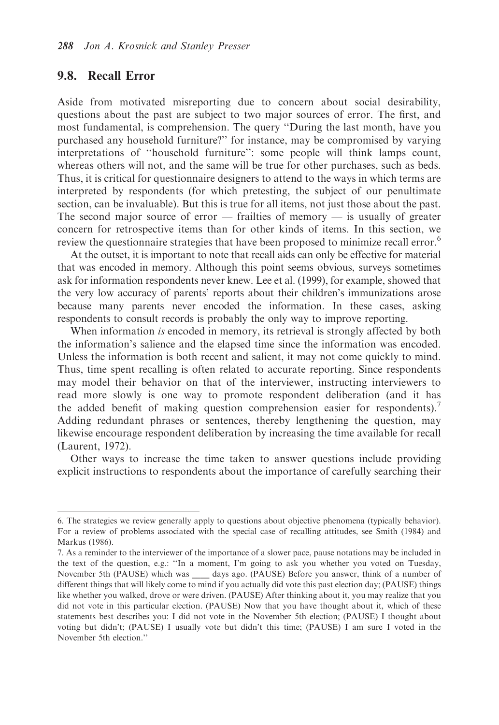## 9.8. Recall Error

Aside from motivated misreporting due to concern about social desirability, questions about the past are subject to two major sources of error. The first, and most fundamental, is comprehension. The query ''During the last month, have you purchased any household furniture?'' for instance, may be compromised by varying interpretations of ''household furniture'': some people will think lamps count, whereas others will not, and the same will be true for other purchases, such as beds. Thus, it is critical for questionnaire designers to attend to the ways in which terms are interpreted by respondents (for which pretesting, the subject of our penultimate section, can be invaluable). But this is true for all items, not just those about the past. The second major source of error  $-$  frailties of memory  $-$  is usually of greater concern for retrospective items than for other kinds of items. In this section, we review the questionnaire strategies that have been proposed to minimize recall error.<sup>6</sup>

At the outset, it is important to note that recall aids can only be effective for material that was encoded in memory. Although this point seems obvious, surveys sometimes ask for information respondents never knew. Lee et al. (1999), for example, showed that the very low accuracy of parents' reports about their children's immunizations arose because many parents never encoded the information. In these cases, asking respondents to consult records is probably the only way to improve reporting.

When information *is* encoded in memory, its retrieval is strongly affected by both the information's salience and the elapsed time since the information was encoded. Unless the information is both recent and salient, it may not come quickly to mind. Thus, time spent recalling is often related to accurate reporting. Since respondents may model their behavior on that of the interviewer, instructing interviewers to read more slowly is one way to promote respondent deliberation (and it has the added benefit of making question comprehension easier for respondents).<sup>7</sup> Adding redundant phrases or sentences, thereby lengthening the question, may likewise encourage respondent deliberation by increasing the time available for recall (Laurent, 1972).

Other ways to increase the time taken to answer questions include providing explicit instructions to respondents about the importance of carefully searching their

<sup>6.</sup> The strategies we review generally apply to questions about objective phenomena (typically behavior). For a review of problems associated with the special case of recalling attitudes, see Smith (1984) and Markus (1986).

<sup>7.</sup> As a reminder to the interviewer of the importance of a slower pace, pause notations may be included in the text of the question, e.g.: ''In a moment, I'm going to ask you whether you voted on Tuesday, November 5th (PAUSE) which was \_\_\_\_ days ago. (PAUSE) Before you answer, think of a number of different things that will likely come to mind if you actually did vote this past election day; (PAUSE) things like whether you walked, drove or were driven. (PAUSE) After thinking about it, you may realize that you did not vote in this particular election. (PAUSE) Now that you have thought about it, which of these statements best describes you: I did not vote in the November 5th election; (PAUSE) I thought about voting but didn't; (PAUSE) I usually vote but didn't this time; (PAUSE) I am sure I voted in the November 5th election.''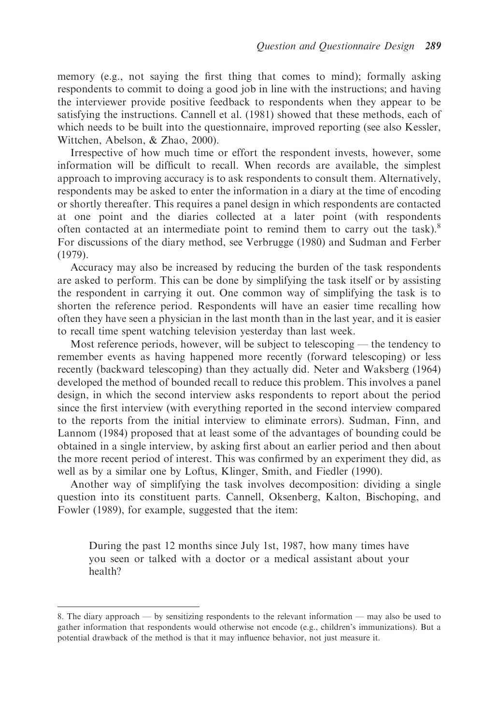memory (e.g., not saying the first thing that comes to mind); formally asking respondents to commit to doing a good job in line with the instructions; and having the interviewer provide positive feedback to respondents when they appear to be satisfying the instructions. Cannell et al. (1981) showed that these methods, each of which needs to be built into the questionnaire, improved reporting (see also Kessler, Wittchen, Abelson, & Zhao, 2000).

Irrespective of how much time or effort the respondent invests, however, some information will be difficult to recall. When records are available, the simplest approach to improving accuracy is to ask respondents to consult them. Alternatively, respondents may be asked to enter the information in a diary at the time of encoding or shortly thereafter. This requires a panel design in which respondents are contacted at one point and the diaries collected at a later point (with respondents often contacted at an intermediate point to remind them to carry out the task).<sup>8</sup> For discussions of the diary method, see Verbrugge (1980) and Sudman and Ferber (1979).

Accuracy may also be increased by reducing the burden of the task respondents are asked to perform. This can be done by simplifying the task itself or by assisting the respondent in carrying it out. One common way of simplifying the task is to shorten the reference period. Respondents will have an easier time recalling how often they have seen a physician in the last month than in the last year, and it is easier to recall time spent watching television yesterday than last week.

Most reference periods, however, will be subject to telescoping — the tendency to remember events as having happened more recently (forward telescoping) or less recently (backward telescoping) than they actually did. Neter and Waksberg (1964) developed the method of bounded recall to reduce this problem. This involves a panel design, in which the second interview asks respondents to report about the period since the first interview (with everything reported in the second interview compared to the reports from the initial interview to eliminate errors). Sudman, Finn, and Lannom (1984) proposed that at least some of the advantages of bounding could be obtained in a single interview, by asking first about an earlier period and then about the more recent period of interest. This was confirmed by an experiment they did, as well as by a similar one by Loftus, Klinger, Smith, and Fiedler (1990).

Another way of simplifying the task involves decomposition: dividing a single question into its constituent parts. Cannell, Oksenberg, Kalton, Bischoping, and Fowler (1989), for example, suggested that the item:

During the past 12 months since July 1st, 1987, how many times have you seen or talked with a doctor or a medical assistant about your health?

<sup>8.</sup> The diary approach — by sensitizing respondents to the relevant information — may also be used to gather information that respondents would otherwise not encode (e.g., children's immunizations). But a potential drawback of the method is that it may influence behavior, not just measure it.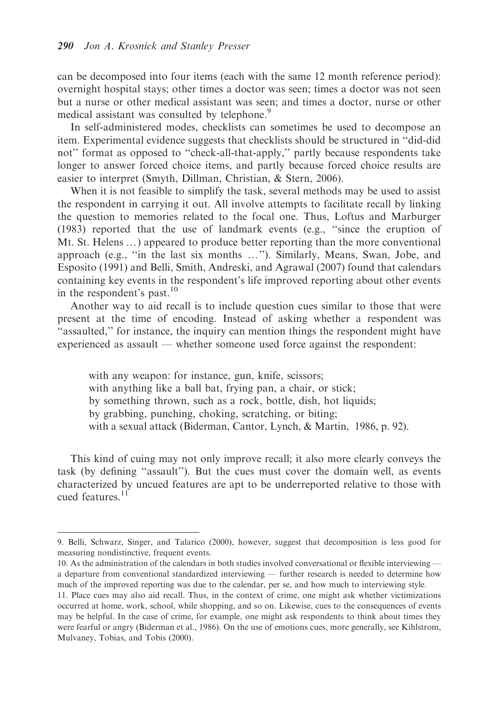can be decomposed into four items (each with the same 12 month reference period): overnight hospital stays; other times a doctor was seen; times a doctor was not seen but a nurse or other medical assistant was seen; and times a doctor, nurse or other medical assistant was consulted by telephone.<sup>9</sup>

In self-administered modes, checklists can sometimes be used to decompose an item. Experimental evidence suggests that checklists should be structured in ''did-did not'' format as opposed to ''check-all-that-apply,'' partly because respondents take longer to answer forced choice items, and partly because forced choice results are easier to interpret (Smyth, Dillman, Christian, & Stern, 2006).

When it is not feasible to simplify the task, several methods may be used to assist the respondent in carrying it out. All involve attempts to facilitate recall by linking the question to memories related to the focal one. Thus, Loftus and Marburger (1983) reported that the use of landmark events (e.g., ''since the eruption of Mt. St. Helens  $\ldots$ ) appeared to produce better reporting than the more conventional approach (e.g., "in the last six months ..."). Similarly, Means, Swan, Jobe, and Esposito (1991) and Belli, Smith, Andreski, and Agrawal (2007) found that calendars containing key events in the respondent's life improved reporting about other events in the respondent's past. $10$ 

Another way to aid recall is to include question cues similar to those that were present at the time of encoding. Instead of asking whether a respondent was ''assaulted,'' for instance, the inquiry can mention things the respondent might have experienced as assault — whether someone used force against the respondent:

with any weapon: for instance, gun, knife, scissors; with anything like a ball bat, frying pan, a chair, or stick; by something thrown, such as a rock, bottle, dish, hot liquids; by grabbing, punching, choking, scratching, or biting; with a sexual attack (Biderman, Cantor, Lynch, & Martin, 1986, p. 92).

This kind of cuing may not only improve recall; it also more clearly conveys the task (by defining ''assault''). But the cues must cover the domain well, as events characterized by uncued features are apt to be underreported relative to those with cued features.<sup>11</sup>

<sup>9.</sup> Belli, Schwarz, Singer, and Talarico (2000), however, suggest that decomposition is less good for measuring nondistinctive, frequent events.

<sup>10.</sup> As the administration of the calendars in both studies involved conversational or flexible interviewing a departure from conventional standardized interviewing — further research is needed to determine how much of the improved reporting was due to the calendar, per se, and how much to interviewing style.

<sup>11.</sup> Place cues may also aid recall. Thus, in the context of crime, one might ask whether victimizations occurred at home, work, school, while shopping, and so on. Likewise, cues to the consequences of events may be helpful. In the case of crime, for example, one might ask respondents to think about times they were fearful or angry (Biderman et al., 1986). On the use of emotions cues, more generally, see Kihlstrom, Mulvaney, Tobias, and Tobis (2000).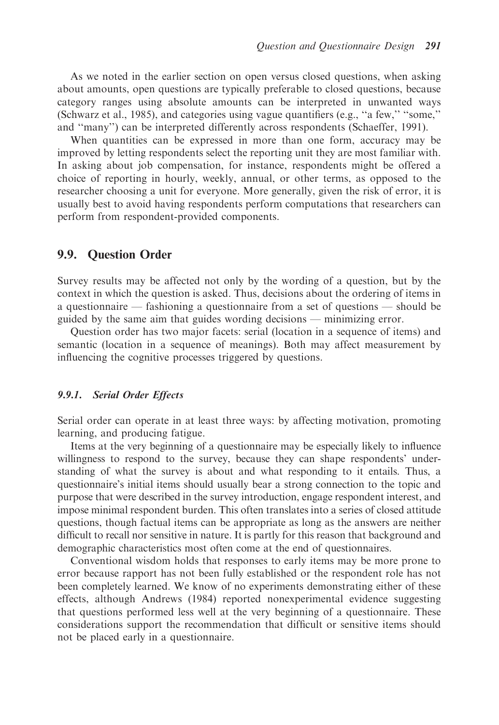As we noted in the earlier section on open versus closed questions, when asking about amounts, open questions are typically preferable to closed questions, because category ranges using absolute amounts can be interpreted in unwanted ways (Schwarz et al., 1985), and categories using vague quantifiers (e.g., ''a few,'' ''some,'' and ''many'') can be interpreted differently across respondents (Schaeffer, 1991).

When quantities can be expressed in more than one form, accuracy may be improved by letting respondents select the reporting unit they are most familiar with. In asking about job compensation, for instance, respondents might be offered a choice of reporting in hourly, weekly, annual, or other terms, as opposed to the researcher choosing a unit for everyone. More generally, given the risk of error, it is usually best to avoid having respondents perform computations that researchers can perform from respondent-provided components.

#### 9.9. Question Order

Survey results may be affected not only by the wording of a question, but by the context in which the question is asked. Thus, decisions about the ordering of items in a questionnaire — fashioning a questionnaire from a set of questions — should be guided by the same aim that guides wording decisions — minimizing error.

Question order has two major facets: serial (location in a sequence of items) and semantic (location in a sequence of meanings). Both may affect measurement by influencing the cognitive processes triggered by questions.

#### 9.9.1. Serial Order Effects

Serial order can operate in at least three ways: by affecting motivation, promoting learning, and producing fatigue.

Items at the very beginning of a questionnaire may be especially likely to influence willingness to respond to the survey, because they can shape respondents' understanding of what the survey is about and what responding to it entails. Thus, a questionnaire's initial items should usually bear a strong connection to the topic and purpose that were described in the survey introduction, engage respondent interest, and impose minimal respondent burden. This often translates into a series of closed attitude questions, though factual items can be appropriate as long as the answers are neither difficult to recall nor sensitive in nature. It is partly for this reason that background and demographic characteristics most often come at the end of questionnaires.

Conventional wisdom holds that responses to early items may be more prone to error because rapport has not been fully established or the respondent role has not been completely learned. We know of no experiments demonstrating either of these effects, although Andrews (1984) reported nonexperimental evidence suggesting that questions performed less well at the very beginning of a questionnaire. These considerations support the recommendation that difficult or sensitive items should not be placed early in a questionnaire.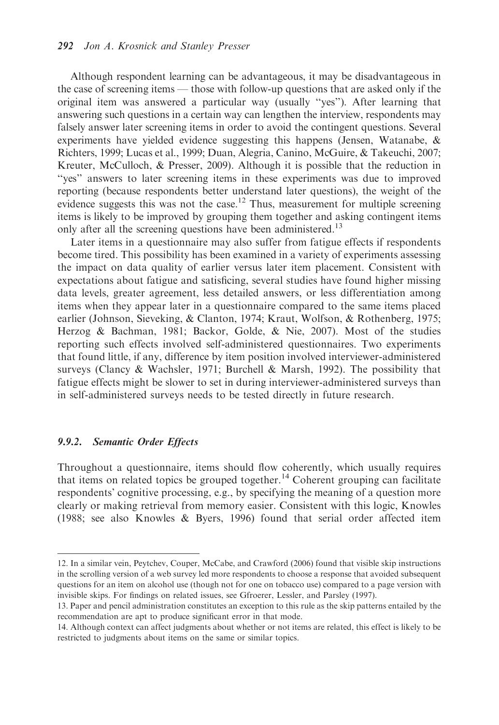Although respondent learning can be advantageous, it may be disadvantageous in the case of screening items — those with follow-up questions that are asked only if the original item was answered a particular way (usually ''yes''). After learning that answering such questions in a certain way can lengthen the interview, respondents may falsely answer later screening items in order to avoid the contingent questions. Several experiments have yielded evidence suggesting this happens (Jensen, Watanabe, & Richters, 1999; Lucas et al., 1999; Duan, Alegria, Canino, McGuire, & Takeuchi, 2007; Kreuter, McCulloch, & Presser, 2009). Although it is possible that the reduction in ''yes'' answers to later screening items in these experiments was due to improved reporting (because respondents better understand later questions), the weight of the evidence suggests this was not the case.<sup>12</sup> Thus, measurement for multiple screening items is likely to be improved by grouping them together and asking contingent items only after all the screening questions have been administered.<sup>13</sup>

Later items in a questionnaire may also suffer from fatigue effects if respondents become tired. This possibility has been examined in a variety of experiments assessing the impact on data quality of earlier versus later item placement. Consistent with expectations about fatigue and satisficing, several studies have found higher missing data levels, greater agreement, less detailed answers, or less differentiation among items when they appear later in a questionnaire compared to the same items placed earlier (Johnson, Sieveking, & Clanton, 1974; Kraut, Wolfson, & Rothenberg, 1975; Herzog & Bachman, 1981; Backor, Golde, & Nie, 2007). Most of the studies reporting such effects involved self-administered questionnaires. Two experiments that found little, if any, difference by item position involved interviewer-administered surveys (Clancy & Wachsler, 1971; Burchell & Marsh, 1992). The possibility that fatigue effects might be slower to set in during interviewer-administered surveys than in self-administered surveys needs to be tested directly in future research.

#### 9.9.2. Semantic Order Effects

Throughout a questionnaire, items should flow coherently, which usually requires that items on related topics be grouped together.<sup>14</sup> Coherent grouping can facilitate respondents' cognitive processing, e.g., by specifying the meaning of a question more clearly or making retrieval from memory easier. Consistent with this logic, Knowles (1988; see also Knowles & Byers, 1996) found that serial order affected item

<sup>12.</sup> In a similar vein, Peytchev, Couper, McCabe, and Crawford (2006) found that visible skip instructions in the scrolling version of a web survey led more respondents to choose a response that avoided subsequent questions for an item on alcohol use (though not for one on tobacco use) compared to a page version with invisible skips. For findings on related issues, see Gfroerer, Lessler, and Parsley (1997).

<sup>13.</sup> Paper and pencil administration constitutes an exception to this rule as the skip patterns entailed by the recommendation are apt to produce significant error in that mode.

<sup>14.</sup> Although context can affect judgments about whether or not items are related, this effect is likely to be restricted to judgments about items on the same or similar topics.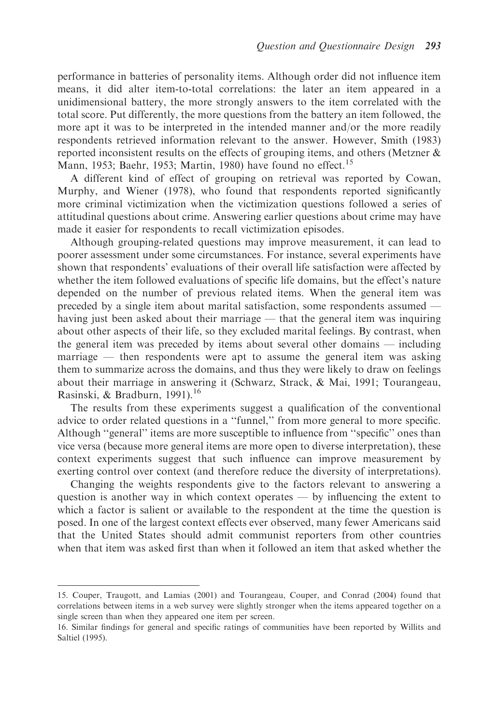performance in batteries of personality items. Although order did not influence item means, it did alter item-to-total correlations: the later an item appeared in a unidimensional battery, the more strongly answers to the item correlated with the total score. Put differently, the more questions from the battery an item followed, the more apt it was to be interpreted in the intended manner and/or the more readily respondents retrieved information relevant to the answer. However, Smith (1983) reported inconsistent results on the effects of grouping items, and others (Metzner & Mann, 1953; Baehr, 1953; Martin, 1980) have found no effect.<sup>15</sup>

A different kind of effect of grouping on retrieval was reported by Cowan, Murphy, and Wiener (1978), who found that respondents reported significantly more criminal victimization when the victimization questions followed a series of attitudinal questions about crime. Answering earlier questions about crime may have made it easier for respondents to recall victimization episodes.

Although grouping-related questions may improve measurement, it can lead to poorer assessment under some circumstances. For instance, several experiments have shown that respondents' evaluations of their overall life satisfaction were affected by whether the item followed evaluations of specific life domains, but the effect's nature depended on the number of previous related items. When the general item was preceded by a single item about marital satisfaction, some respondents assumed having just been asked about their marriage — that the general item was inquiring about other aspects of their life, so they excluded marital feelings. By contrast, when the general item was preceded by items about several other domains — including marriage — then respondents were apt to assume the general item was asking them to summarize across the domains, and thus they were likely to draw on feelings about their marriage in answering it (Schwarz, Strack, & Mai, 1991; Tourangeau, Rasinski, & Bradburn, 1991).<sup>16</sup>

The results from these experiments suggest a qualification of the conventional advice to order related questions in a ''funnel,'' from more general to more specific. Although ''general'' items are more susceptible to influence from ''specific'' ones than vice versa (because more general items are more open to diverse interpretation), these context experiments suggest that such influence can improve measurement by exerting control over context (and therefore reduce the diversity of interpretations).

Changing the weights respondents give to the factors relevant to answering a question is another way in which context operates — by influencing the extent to which a factor is salient or available to the respondent at the time the question is posed. In one of the largest context effects ever observed, many fewer Americans said that the United States should admit communist reporters from other countries when that item was asked first than when it followed an item that asked whether the

<sup>15.</sup> Couper, Traugott, and Lamias (2001) and Tourangeau, Couper, and Conrad (2004) found that correlations between items in a web survey were slightly stronger when the items appeared together on a single screen than when they appeared one item per screen.

<sup>16.</sup> Similar findings for general and specific ratings of communities have been reported by Willits and Saltiel (1995).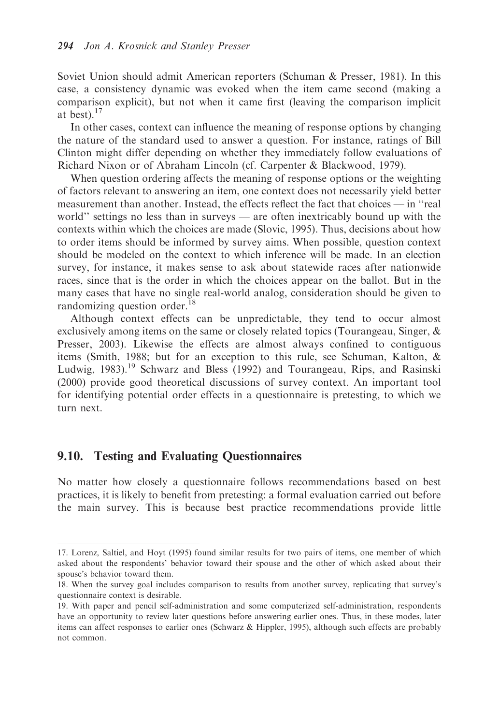Soviet Union should admit American reporters (Schuman & Presser, 1981). In this case, a consistency dynamic was evoked when the item came second (making a comparison explicit), but not when it came first (leaving the comparison implicit at best). $17$ 

In other cases, context can influence the meaning of response options by changing the nature of the standard used to answer a question. For instance, ratings of Bill Clinton might differ depending on whether they immediately follow evaluations of Richard Nixon or of Abraham Lincoln (cf. Carpenter & Blackwood, 1979).

When question ordering affects the meaning of response options or the weighting of factors relevant to answering an item, one context does not necessarily yield better measurement than another. Instead, the effects reflect the fact that choices — in ''real world'' settings no less than in surveys — are often inextricably bound up with the contexts within which the choices are made (Slovic, 1995). Thus, decisions about how to order items should be informed by survey aims. When possible, question context should be modeled on the context to which inference will be made. In an election survey, for instance, it makes sense to ask about statewide races after nationwide races, since that is the order in which the choices appear on the ballot. But in the many cases that have no single real-world analog, consideration should be given to randomizing question order.<sup>18</sup>

Although context effects can be unpredictable, they tend to occur almost exclusively among items on the same or closely related topics (Tourangeau, Singer, & Presser, 2003). Likewise the effects are almost always confined to contiguous items (Smith, 1988; but for an exception to this rule, see Schuman, Kalton, & Ludwig, 1983).<sup>19</sup> Schwarz and Bless (1992) and Tourangeau, Rips, and Rasinski (2000) provide good theoretical discussions of survey context. An important tool for identifying potential order effects in a questionnaire is pretesting, to which we turn next.

# 9.10. Testing and Evaluating Questionnaires

No matter how closely a questionnaire follows recommendations based on best practices, it is likely to benefit from pretesting: a formal evaluation carried out before the main survey. This is because best practice recommendations provide little

<sup>17.</sup> Lorenz, Saltiel, and Hoyt (1995) found similar results for two pairs of items, one member of which asked about the respondents' behavior toward their spouse and the other of which asked about their spouse's behavior toward them.

<sup>18.</sup> When the survey goal includes comparison to results from another survey, replicating that survey's questionnaire context is desirable.

<sup>19.</sup> With paper and pencil self-administration and some computerized self-administration, respondents have an opportunity to review later questions before answering earlier ones. Thus, in these modes, later items can affect responses to earlier ones (Schwarz & Hippler, 1995), although such effects are probably not common.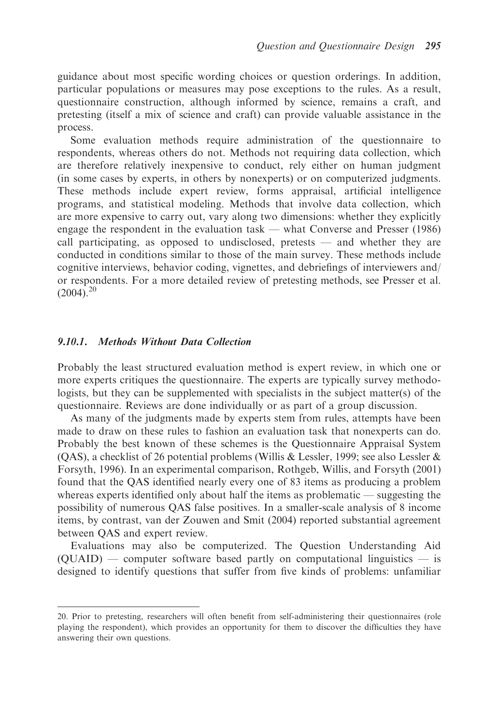guidance about most specific wording choices or question orderings. In addition, particular populations or measures may pose exceptions to the rules. As a result, questionnaire construction, although informed by science, remains a craft, and pretesting (itself a mix of science and craft) can provide valuable assistance in the process.

Some evaluation methods require administration of the questionnaire to respondents, whereas others do not. Methods not requiring data collection, which are therefore relatively inexpensive to conduct, rely either on human judgment (in some cases by experts, in others by nonexperts) or on computerized judgments. These methods include expert review, forms appraisal, artificial intelligence programs, and statistical modeling. Methods that involve data collection, which are more expensive to carry out, vary along two dimensions: whether they explicitly engage the respondent in the evaluation task — what Converse and Presser (1986) call participating, as opposed to undisclosed, pretests — and whether they are conducted in conditions similar to those of the main survey. These methods include cognitive interviews, behavior coding, vignettes, and debriefings of interviewers and/ or respondents. For a more detailed review of pretesting methods, see Presser et al.  $(2004)$ <sup>20</sup>

#### 9.10.1. Methods Without Data Collection

Probably the least structured evaluation method is expert review, in which one or more experts critiques the questionnaire. The experts are typically survey methodologists, but they can be supplemented with specialists in the subject matter(s) of the questionnaire. Reviews are done individually or as part of a group discussion.

As many of the judgments made by experts stem from rules, attempts have been made to draw on these rules to fashion an evaluation task that nonexperts can do. Probably the best known of these schemes is the Questionnaire Appraisal System (QAS), a checklist of 26 potential problems (Willis & Lessler, 1999; see also Lessler & Forsyth, 1996). In an experimental comparison, Rothgeb, Willis, and Forsyth (2001) found that the QAS identified nearly every one of 83 items as producing a problem whereas experts identified only about half the items as problematic — suggesting the possibility of numerous QAS false positives. In a smaller-scale analysis of 8 income items, by contrast, van der Zouwen and Smit (2004) reported substantial agreement between QAS and expert review.

Evaluations may also be computerized. The Question Understanding Aid  $(QUAID)$  — computer software based partly on computational linguistics — is designed to identify questions that suffer from five kinds of problems: unfamiliar

<sup>20.</sup> Prior to pretesting, researchers will often benefit from self-administering their questionnaires (role playing the respondent), which provides an opportunity for them to discover the difficulties they have answering their own questions.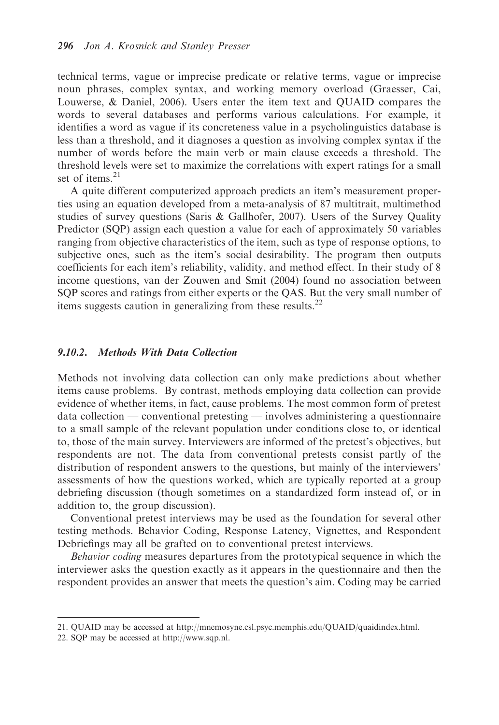technical terms, vague or imprecise predicate or relative terms, vague or imprecise noun phrases, complex syntax, and working memory overload (Graesser, Cai, Louwerse, & Daniel, 2006). Users enter the item text and QUAID compares the words to several databases and performs various calculations. For example, it identifies a word as vague if its concreteness value in a psycholinguistics database is less than a threshold, and it diagnoses a question as involving complex syntax if the number of words before the main verb or main clause exceeds a threshold. The threshold levels were set to maximize the correlations with expert ratings for a small set of items. $21$ 

A quite different computerized approach predicts an item's measurement properties using an equation developed from a meta-analysis of 87 multitrait, multimethod studies of survey questions (Saris & Gallhofer, 2007). Users of the Survey Quality Predictor (SQP) assign each question a value for each of approximately 50 variables ranging from objective characteristics of the item, such as type of response options, to subjective ones, such as the item's social desirability. The program then outputs coefficients for each item's reliability, validity, and method effect. In their study of 8 income questions, van der Zouwen and Smit (2004) found no association between SQP scores and ratings from either experts or the QAS. But the very small number of items suggests caution in generalizing from these results. $^{22}$ 

#### 9.10.2. Methods With Data Collection

Methods not involving data collection can only make predictions about whether items cause problems. By contrast, methods employing data collection can provide evidence of whether items, in fact, cause problems. The most common form of pretest data collection — conventional pretesting — involves administering a questionnaire to a small sample of the relevant population under conditions close to, or identical to, those of the main survey. Interviewers are informed of the pretest's objectives, but respondents are not. The data from conventional pretests consist partly of the distribution of respondent answers to the questions, but mainly of the interviewers' assessments of how the questions worked, which are typically reported at a group debriefing discussion (though sometimes on a standardized form instead of, or in addition to, the group discussion).

Conventional pretest interviews may be used as the foundation for several other testing methods. Behavior Coding, Response Latency, Vignettes, and Respondent Debriefings may all be grafted on to conventional pretest interviews.

Behavior coding measures departures from the prototypical sequence in which the interviewer asks the question exactly as it appears in the questionnaire and then the respondent provides an answer that meets the question's aim. Coding may be carried

<sup>21.</sup> QUAID may be accessed at http://mnemosyne.csl.psyc.memphis.edu/QUAID/quaidindex.html.

<sup>22.</sup> SQP may be accessed at http://www.sqp.nl.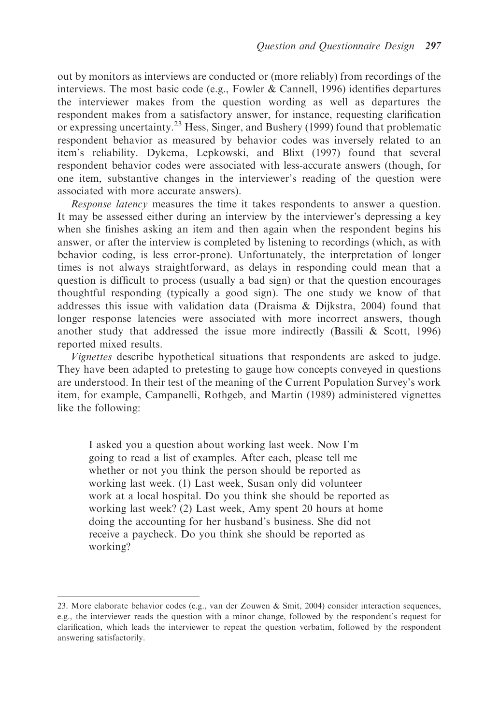out by monitors as interviews are conducted or (more reliably) from recordings of the interviews. The most basic code (e.g., Fowler & Cannell, 1996) identifies departures the interviewer makes from the question wording as well as departures the respondent makes from a satisfactory answer, for instance, requesting clarification or expressing uncertainty.<sup>23</sup> Hess, Singer, and Bushery (1999) found that problematic respondent behavior as measured by behavior codes was inversely related to an item's reliability. Dykema, Lepkowski, and Blixt (1997) found that several respondent behavior codes were associated with less-accurate answers (though, for one item, substantive changes in the interviewer's reading of the question were associated with more accurate answers).

Response latency measures the time it takes respondents to answer a question. It may be assessed either during an interview by the interviewer's depressing a key when she finishes asking an item and then again when the respondent begins his answer, or after the interview is completed by listening to recordings (which, as with behavior coding, is less error-prone). Unfortunately, the interpretation of longer times is not always straightforward, as delays in responding could mean that a question is difficult to process (usually a bad sign) or that the question encourages thoughtful responding (typically a good sign). The one study we know of that addresses this issue with validation data (Draisma & Dijkstra, 2004) found that longer response latencies were associated with more incorrect answers, though another study that addressed the issue more indirectly (Bassili & Scott, 1996) reported mixed results.

Vignettes describe hypothetical situations that respondents are asked to judge. They have been adapted to pretesting to gauge how concepts conveyed in questions are understood. In their test of the meaning of the Current Population Survey's work item, for example, Campanelli, Rothgeb, and Martin (1989) administered vignettes like the following:

I asked you a question about working last week. Now I'm going to read a list of examples. After each, please tell me whether or not you think the person should be reported as working last week. (1) Last week, Susan only did volunteer work at a local hospital. Do you think she should be reported as working last week? (2) Last week, Amy spent 20 hours at home doing the accounting for her husband's business. She did not receive a paycheck. Do you think she should be reported as working?

<sup>23.</sup> More elaborate behavior codes (e.g., van der Zouwen & Smit, 2004) consider interaction sequences, e.g., the interviewer reads the question with a minor change, followed by the respondent's request for clarification, which leads the interviewer to repeat the question verbatim, followed by the respondent answering satisfactorily.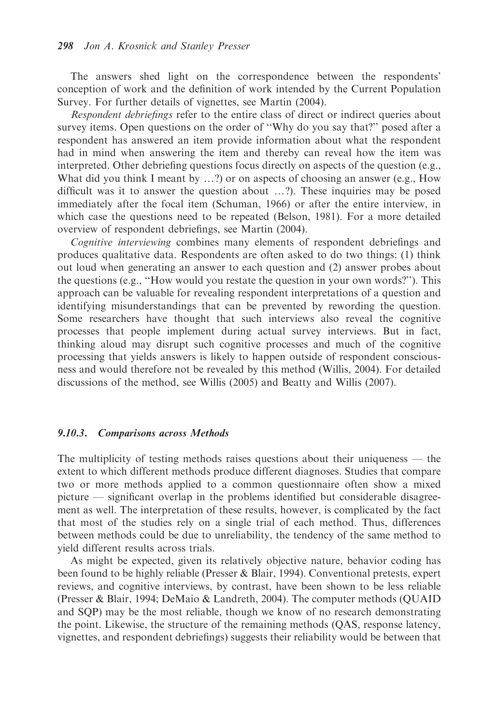The answers shed light on the correspondence between the respondents' conception of work and the definition of work intended by the Current Population Survey. For further details of vignettes, see Martin (2004).

Respondent debriefings refer to the entire class of direct or indirect queries about survey items. Open questions on the order of ''Why do you say that?'' posed after a respondent has answered an item provide information about what the respondent had in mind when answering the item and thereby can reveal how the item was interpreted. Other debriefing questions focus directly on aspects of the question (e.g., What did you think I meant by  $\dots$ ?) or on aspects of choosing an answer (e.g., How difficult was it to answer the question about ...?). These inquiries may be posed immediately after the focal item (Schuman, 1966) or after the entire interview, in which case the questions need to be repeated (Belson, 1981). For a more detailed overview of respondent debriefings, see Martin (2004).

Cognitive interviewing combines many elements of respondent debriefings and produces qualitative data. Respondents are often asked to do two things: (1) think out loud when generating an answer to each question and (2) answer probes about the questions (e.g., ''How would you restate the question in your own words?''). This approach can be valuable for revealing respondent interpretations of a question and identifying misunderstandings that can be prevented by rewording the question. Some researchers have thought that such interviews also reveal the cognitive processes that people implement during actual survey interviews. But in fact, thinking aloud may disrupt such cognitive processes and much of the cognitive processing that yields answers is likely to happen outside of respondent consciousness and would therefore not be revealed by this method (Willis, 2004). For detailed discussions of the method, see Willis (2005) and Beatty and Willis (2007).

#### 9.10.3. Comparisons across Methods

The multiplicity of testing methods raises questions about their uniqueness — the extent to which different methods produce different diagnoses. Studies that compare two or more methods applied to a common questionnaire often show a mixed picture — significant overlap in the problems identified but considerable disagreement as well. The interpretation of these results, however, is complicated by the fact that most of the studies rely on a single trial of each method. Thus, differences between methods could be due to unreliability, the tendency of the same method to yield different results across trials.

As might be expected, given its relatively objective nature, behavior coding has been found to be highly reliable (Presser & Blair, 1994). Conventional pretests, expert reviews, and cognitive interviews, by contrast, have been shown to be less reliable (Presser & Blair, 1994; DeMaio & Landreth, 2004). The computer methods (QUAID and SQP) may be the most reliable, though we know of no research demonstrating the point. Likewise, the structure of the remaining methods (QAS, response latency, vignettes, and respondent debriefings) suggests their reliability would be between that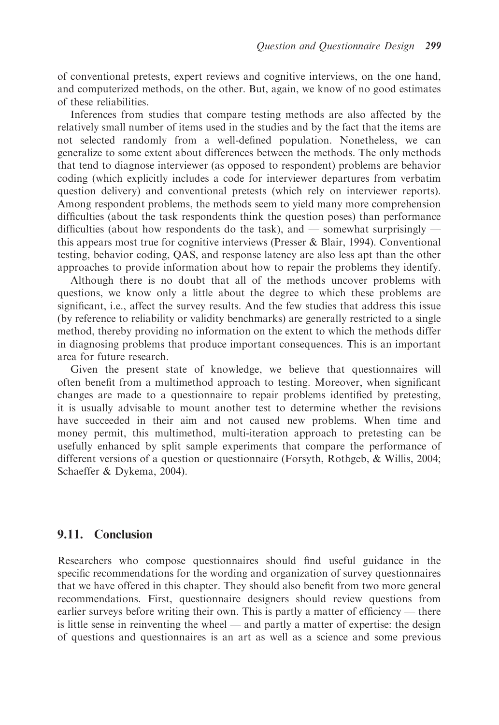of conventional pretests, expert reviews and cognitive interviews, on the one hand, and computerized methods, on the other. But, again, we know of no good estimates of these reliabilities.

Inferences from studies that compare testing methods are also affected by the relatively small number of items used in the studies and by the fact that the items are not selected randomly from a well-defined population. Nonetheless, we can generalize to some extent about differences between the methods. The only methods that tend to diagnose interviewer (as opposed to respondent) problems are behavior coding (which explicitly includes a code for interviewer departures from verbatim question delivery) and conventional pretests (which rely on interviewer reports). Among respondent problems, the methods seem to yield many more comprehension difficulties (about the task respondents think the question poses) than performance difficulties (about how respondents do the task), and — somewhat surprisingly this appears most true for cognitive interviews (Presser & Blair, 1994). Conventional testing, behavior coding, QAS, and response latency are also less apt than the other approaches to provide information about how to repair the problems they identify.

Although there is no doubt that all of the methods uncover problems with questions, we know only a little about the degree to which these problems are significant, i.e., affect the survey results. And the few studies that address this issue (by reference to reliability or validity benchmarks) are generally restricted to a single method, thereby providing no information on the extent to which the methods differ in diagnosing problems that produce important consequences. This is an important area for future research.

Given the present state of knowledge, we believe that questionnaires will often benefit from a multimethod approach to testing. Moreover, when significant changes are made to a questionnaire to repair problems identified by pretesting, it is usually advisable to mount another test to determine whether the revisions have succeeded in their aim and not caused new problems. When time and money permit, this multimethod, multi-iteration approach to pretesting can be usefully enhanced by split sample experiments that compare the performance of different versions of a question or questionnaire (Forsyth, Rothgeb, & Willis, 2004; Schaeffer & Dykema, 2004).

## 9.11. Conclusion

Researchers who compose questionnaires should find useful guidance in the specific recommendations for the wording and organization of survey questionnaires that we have offered in this chapter. They should also benefit from two more general recommendations. First, questionnaire designers should review questions from earlier surveys before writing their own. This is partly a matter of efficiency — there is little sense in reinventing the wheel — and partly a matter of expertise: the design of questions and questionnaires is an art as well as a science and some previous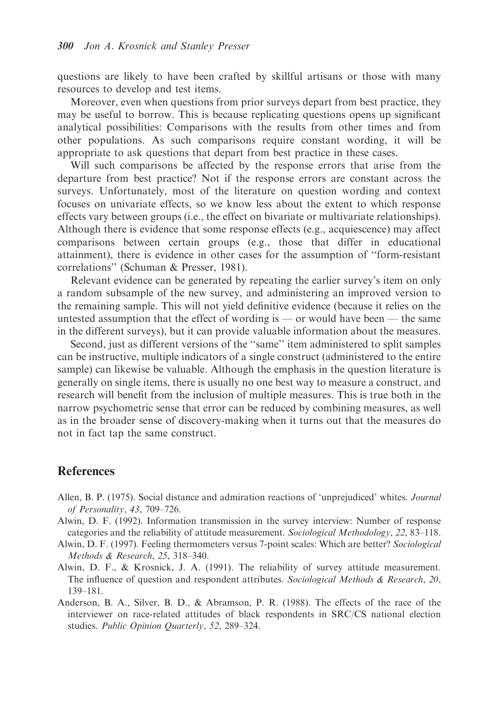questions are likely to have been crafted by skillful artisans or those with many resources to develop and test items.

Moreover, even when questions from prior surveys depart from best practice, they may be useful to borrow. This is because replicating questions opens up significant analytical possibilities: Comparisons with the results from other times and from other populations. As such comparisons require constant wording, it will be appropriate to ask questions that depart from best practice in these cases.

Will such comparisons be affected by the response errors that arise from the departure from best practice? Not if the response errors are constant across the surveys. Unfortunately, most of the literature on question wording and context focuses on univariate effects, so we know less about the extent to which response effects vary between groups (i.e., the effect on bivariate or multivariate relationships). Although there is evidence that some response effects (e.g., acquiescence) may affect comparisons between certain groups (e.g., those that differ in educational attainment), there is evidence in other cases for the assumption of ''form-resistant correlations'' (Schuman & Presser, 1981).

Relevant evidence can be generated by repeating the earlier survey's item on only a random subsample of the new survey, and administering an improved version to the remaining sample. This will not yield definitive evidence (because it relies on the untested assumption that the effect of wording is — or would have been — the same in the different surveys), but it can provide valuable information about the measures.

Second, just as different versions of the ''same'' item administered to split samples can be instructive, multiple indicators of a single construct (administered to the entire sample) can likewise be valuable. Although the emphasis in the question literature is generally on single items, there is usually no one best way to measure a construct, and research will benefit from the inclusion of multiple measures. This is true both in the narrow psychometric sense that error can be reduced by combining measures, as well as in the broader sense of discovery-making when it turns out that the measures do not in fact tap the same construct.

## References

- Allen, B. P. (1975). Social distance and admiration reactions of 'unprejudiced' whites. Journal of Personality, 43, 709–726.
- Alwin, D. F. (1992). Information transmission in the survey interview: Number of response categories and the reliability of attitude measurement. Sociological Methodology, 22, 83–118.
- Alwin, D. F. (1997). Feeling thermometers versus 7-point scales: Which are better? Sociological Methods & Research, 25, 318–340.
- Alwin, D. F., & Krosnick, J. A. (1991). The reliability of survey attitude measurement. The influence of question and respondent attributes. Sociological Methods  $\&$  Research, 20, 139–181.
- Anderson, B. A., Silver, B. D., & Abramson, P. R. (1988). The effects of the race of the interviewer on race-related attitudes of black respondents in SRC/CS national election studies. Public Opinion Quarterly, 52, 289–324.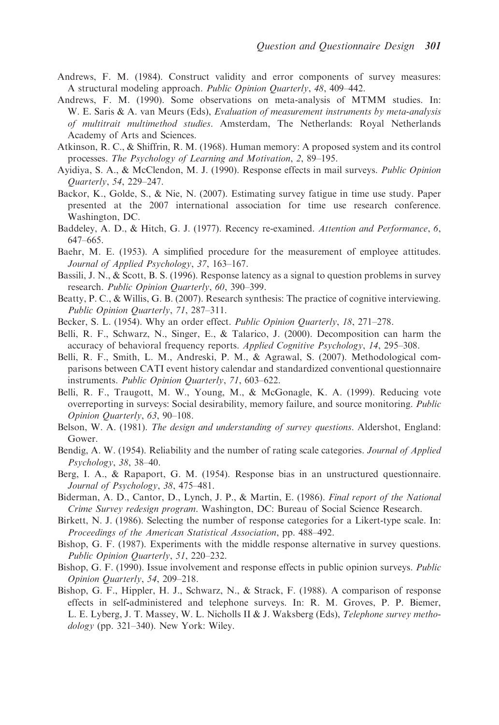- Andrews, F. M. (1984). Construct validity and error components of survey measures: A structural modeling approach. Public Opinion Quarterly, 48, 409–442.
- Andrews, F. M. (1990). Some observations on meta-analysis of MTMM studies. In: W. E. Saris & A. van Meurs (Eds), Evaluation of measurement instruments by meta-analysis of multitrait multimethod studies. Amsterdam, The Netherlands: Royal Netherlands Academy of Arts and Sciences.
- Atkinson, R. C., & Shiffrin, R. M. (1968). Human memory: A proposed system and its control processes. The Psychology of Learning and Motivation, 2, 89–195.
- Ayidiya, S. A., & McClendon, M. J. (1990). Response effects in mail surveys. Public Opinion Quarterly, 54, 229–247.
- Backor, K., Golde, S., & Nie, N. (2007). Estimating survey fatigue in time use study. Paper presented at the 2007 international association for time use research conference. Washington, DC.
- Baddeley, A. D., & Hitch, G. J. (1977). Recency re-examined. Attention and Performance, 6, 647–665.
- Baehr, M. E. (1953). A simplified procedure for the measurement of employee attitudes. Journal of Applied Psychology, 37, 163–167.
- Bassili, J. N., & Scott, B. S. (1996). Response latency as a signal to question problems in survey research. Public Opinion Quarterly, 60, 390-399.
- Beatty, P. C., & Willis, G. B. (2007). Research synthesis: The practice of cognitive interviewing. Public Opinion Quarterly, 71, 287–311.
- Becker, S. L. (1954). Why an order effect. *Public Opinion Quarterly*, 18, 271–278.
- Belli, R. F., Schwarz, N., Singer, E., & Talarico, J. (2000). Decomposition can harm the accuracy of behavioral frequency reports. Applied Cognitive Psychology, 14, 295–308.
- Belli, R. F., Smith, L. M., Andreski, P. M., & Agrawal, S. (2007). Methodological comparisons between CATI event history calendar and standardized conventional questionnaire instruments. Public Opinion Quarterly, 71, 603–622.
- Belli, R. F., Traugott, M. W., Young, M., & McGonagle, K. A. (1999). Reducing vote overreporting in surveys: Social desirability, memory failure, and source monitoring. Public Opinion Quarterly, 63, 90–108.
- Belson, W. A. (1981). The design and understanding of survey questions. Aldershot, England: Gower.
- Bendig, A. W. (1954). Reliability and the number of rating scale categories. *Journal of Applied* Psychology, 38, 38–40.
- Berg, I. A., & Rapaport, G. M. (1954). Response bias in an unstructured questionnaire. Journal of Psychology, 38, 475–481.
- Biderman, A. D., Cantor, D., Lynch, J. P., & Martin, E. (1986). Final report of the National Crime Survey redesign program. Washington, DC: Bureau of Social Science Research.
- Birkett, N. J. (1986). Selecting the number of response categories for a Likert-type scale. In: Proceedings of the American Statistical Association, pp. 488–492.
- Bishop, G. F. (1987). Experiments with the middle response alternative in survey questions. Public Opinion Quarterly, 51, 220–232.
- Bishop, G. F. (1990). Issue involvement and response effects in public opinion surveys. *Public* Opinion Quarterly, 54, 209–218.
- Bishop, G. F., Hippler, H. J., Schwarz, N., & Strack, F. (1988). A comparison of response effects in self-administered and telephone surveys. In: R. M. Groves, P. P. Biemer, L. E. Lyberg, J. T. Massey, W. L. Nicholls II & J. Waksberg (Eds), Telephone survey methodology (pp. 321–340). New York: Wiley.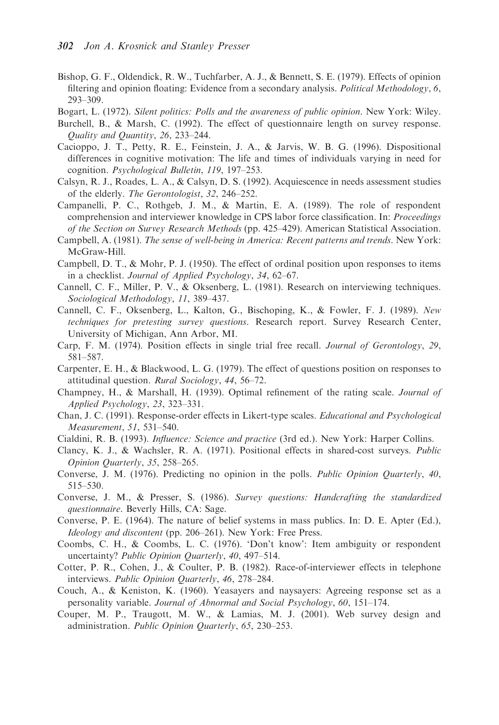- Bishop, G. F., Oldendick, R. W., Tuchfarber, A. J., & Bennett, S. E. (1979). Effects of opinion filtering and opinion floating: Evidence from a secondary analysis. Political Methodology, 6, 293–309.
- Bogart, L. (1972). Silent politics: Polls and the awareness of public opinion. New York: Wiley.
- Burchell, B., & Marsh, C. (1992). The effect of questionnaire length on survey response. Quality and Quantity, 26, 233–244.
- Cacioppo, J. T., Petty, R. E., Feinstein, J. A., & Jarvis, W. B. G. (1996). Dispositional differences in cognitive motivation: The life and times of individuals varying in need for cognition. Psychological Bulletin, 119, 197–253.
- Calsyn, R. J., Roades, L. A., & Calsyn, D. S. (1992). Acquiescence in needs assessment studies of the elderly. The Gerontologist, 32, 246–252.
- Campanelli, P. C., Rothgeb, J. M., & Martin, E. A. (1989). The role of respondent comprehension and interviewer knowledge in CPS labor force classification. In: Proceedings of the Section on Survey Research Methods (pp. 425–429). American Statistical Association.
- Campbell, A. (1981). The sense of well-being in America: Recent patterns and trends. New York: McGraw-Hill.
- Campbell, D. T., & Mohr, P. J. (1950). The effect of ordinal position upon responses to items in a checklist. Journal of Applied Psychology, 34, 62–67.
- Cannell, C. F., Miller, P. V., & Oksenberg, L. (1981). Research on interviewing techniques. Sociological Methodology, 11, 389–437.
- Cannell, C. F., Oksenberg, L., Kalton, G., Bischoping, K., & Fowler, F. J. (1989). New techniques for pretesting survey questions. Research report. Survey Research Center, University of Michigan, Ann Arbor, MI.
- Carp, F. M. (1974). Position effects in single trial free recall. Journal of Gerontology, 29, 581–587.
- Carpenter, E. H., & Blackwood, L. G. (1979). The effect of questions position on responses to attitudinal question. Rural Sociology, 44, 56–72.
- Champney, H., & Marshall, H. (1939). Optimal refinement of the rating scale. Journal of Applied Psychology, 23, 323–331.
- Chan, J. C. (1991). Response-order effects in Likert-type scales. Educational and Psychological Measurement, 51, 531–540.
- Cialdini, R. B. (1993). Influence: Science and practice (3rd ed.). New York: Harper Collins.
- Clancy, K. J., & Wachsler, R. A. (1971). Positional effects in shared-cost surveys. Public Opinion Quarterly, 35, 258–265.
- Converse, J. M. (1976). Predicting no opinion in the polls. Public Opinion Quarterly, 40, 515–530.
- Converse, J. M., & Presser, S. (1986). Survey questions: Handcrafting the standardized questionnaire. Beverly Hills, CA: Sage.
- Converse, P. E. (1964). The nature of belief systems in mass publics. In: D. E. Apter (Ed.), Ideology and discontent (pp. 206–261). New York: Free Press.
- Coombs, C. H., & Coombs, L. C. (1976). 'Don't know': Item ambiguity or respondent uncertainty? Public Opinion Quarterly, 40, 497-514.
- Cotter, P. R., Cohen, J., & Coulter, P. B. (1982). Race-of-interviewer effects in telephone interviews. Public Opinion Quarterly, 46, 278–284.
- Couch, A., & Keniston, K. (1960). Yeasayers and naysayers: Agreeing response set as a personality variable. Journal of Abnormal and Social Psychology, 60, 151–174.
- Couper, M. P., Traugott, M. W., & Lamias, M. J. (2001). Web survey design and administration. Public Opinion Quarterly, 65, 230–253.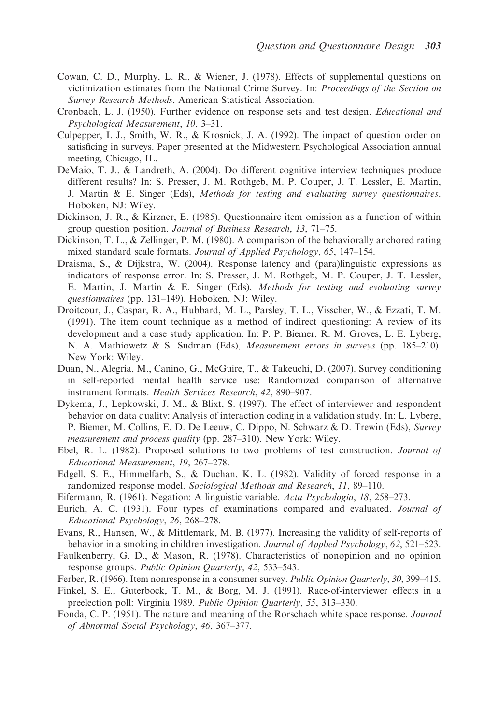- Cowan, C. D., Murphy, L. R., & Wiener, J. (1978). Effects of supplemental questions on victimization estimates from the National Crime Survey. In: Proceedings of the Section on Survey Research Methods, American Statistical Association.
- Cronbach, L. J. (1950). Further evidence on response sets and test design. Educational and Psychological Measurement, 10, 3–31.
- Culpepper, I. J., Smith, W. R., & Krosnick, J. A. (1992). The impact of question order on satisficing in surveys. Paper presented at the Midwestern Psychological Association annual meeting, Chicago, IL.
- DeMaio, T. J., & Landreth, A. (2004). Do different cognitive interview techniques produce different results? In: S. Presser, J. M. Rothgeb, M. P. Couper, J. T. Lessler, E. Martin, J. Martin & E. Singer (Eds), Methods for testing and evaluating survey questionnaires. Hoboken, NJ: Wiley.
- Dickinson, J. R., & Kirzner, E. (1985). Questionnaire item omission as a function of within group question position. Journal of Business Research, 13, 71–75.
- Dickinson, T. L., & Zellinger, P. M. (1980). A comparison of the behaviorally anchored rating mixed standard scale formats. Journal of Applied Psychology, 65, 147–154.
- Draisma, S., & Dijkstra, W. (2004). Response latency and (para)linguistic expressions as indicators of response error. In: S. Presser, J. M. Rothgeb, M. P. Couper, J. T. Lessler, E. Martin, J. Martin & E. Singer (Eds), Methods for testing and evaluating survey questionnaires (pp. 131–149). Hoboken, NJ: Wiley.
- Droitcour, J., Caspar, R. A., Hubbard, M. L., Parsley, T. L., Visscher, W., & Ezzati, T. M. (1991). The item count technique as a method of indirect questioning: A review of its development and a case study application. In: P. P. Biemer, R. M. Groves, L. E. Lyberg, N. A. Mathiowetz & S. Sudman (Eds), Measurement errors in surveys (pp. 185–210). New York: Wiley.
- Duan, N., Alegria, M., Canino, G., McGuire, T., & Takeuchi, D. (2007). Survey conditioning in self-reported mental health service use: Randomized comparison of alternative instrument formats. Health Services Research, 42, 890–907.
- Dykema, J., Lepkowski, J. M., & Blixt, S. (1997). The effect of interviewer and respondent behavior on data quality: Analysis of interaction coding in a validation study. In: L. Lyberg, P. Biemer, M. Collins, E. D. De Leeuw, C. Dippo, N. Schwarz & D. Trewin (Eds), Survey measurement and process quality (pp. 287–310). New York: Wiley.
- Ebel, R. L. (1982). Proposed solutions to two problems of test construction. Journal of Educational Measurement, 19, 267–278.
- Edgell, S. E., Himmelfarb, S., & Duchan, K. L. (1982). Validity of forced response in a randomized response model. Sociological Methods and Research, 11, 89–110.
- Eifermann, R. (1961). Negation: A linguistic variable. Acta Psychologia, 18, 258–273.
- Eurich, A. C. (1931). Four types of examinations compared and evaluated. Journal of Educational Psychology, 26, 268–278.
- Evans, R., Hansen, W., & Mittlemark, M. B. (1977). Increasing the validity of self-reports of behavior in a smoking in children investigation. Journal of Applied Psychology, 62, 521–523.
- Faulkenberry, G. D., & Mason, R. (1978). Characteristics of nonopinion and no opinion response groups. Public Opinion Quarterly, 42, 533–543.
- Ferber, R. (1966). Item nonresponse in a consumer survey. *Public Opinion Quarterly*, 30, 399–415.
- Finkel, S. E., Guterbock, T. M., & Borg, M. J. (1991). Race-of-interviewer effects in a preelection poll: Virginia 1989. Public Opinion Quarterly, 55, 313–330.
- Fonda, C. P. (1951). The nature and meaning of the Rorschach white space response. Journal of Abnormal Social Psychology, 46, 367–377.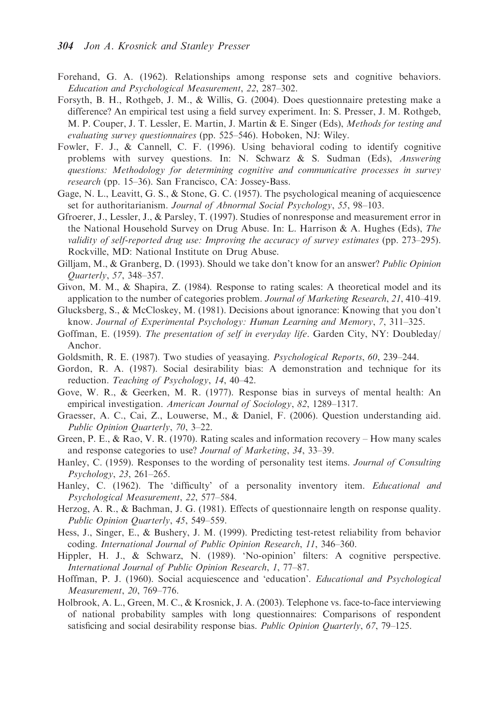- Forehand, G. A. (1962). Relationships among response sets and cognitive behaviors. Education and Psychological Measurement, 22, 287–302.
- Forsyth, B. H., Rothgeb, J. M., & Willis, G. (2004). Does questionnaire pretesting make a difference? An empirical test using a field survey experiment. In: S. Presser, J. M. Rothgeb, M. P. Couper, J. T. Lessler, E. Martin, J. Martin & E. Singer (Eds), Methods for testing and evaluating survey questionnaires (pp. 525–546). Hoboken, NJ: Wiley.
- Fowler, F. J., & Cannell, C. F. (1996). Using behavioral coding to identify cognitive problems with survey questions. In: N. Schwarz  $\&$  S. Sudman (Eds), Answering questions: Methodology for determining cognitive and communicative processes in survey research (pp. 15–36). San Francisco, CA: Jossey-Bass.
- Gage, N. L., Leavitt, G. S., & Stone, G. C. (1957). The psychological meaning of acquiescence set for authoritarianism. Journal of Abnormal Social Psychology, 55, 98–103.
- Gfroerer, J., Lessler, J., & Parsley, T. (1997). Studies of nonresponse and measurement error in the National Household Survey on Drug Abuse. In: L. Harrison & A. Hughes (Eds), The validity of self-reported drug use: Improving the accuracy of survey estimates (pp. 273–295). Rockville, MD: National Institute on Drug Abuse.
- Gilljam, M., & Granberg, D. (1993). Should we take don't know for an answer? Public Opinion Quarterly, 57, 348–357.
- Givon, M. M., & Shapira, Z. (1984). Response to rating scales: A theoretical model and its application to the number of categories problem. Journal of Marketing Research, 21, 410–419.
- Glucksberg, S., & McCloskey, M. (1981). Decisions about ignorance: Knowing that you don't know. Journal of Experimental Psychology: Human Learning and Memory, 7, 311–325.
- Goffman, E. (1959). The presentation of self in everyday life. Garden City, NY: Doubleday/ Anchor.
- Goldsmith, R. E. (1987). Two studies of yeasaying. Psychological Reports, 60, 239–244.
- Gordon, R. A. (1987). Social desirability bias: A demonstration and technique for its reduction. Teaching of Psychology, 14, 40-42.
- Gove, W. R., & Geerken, M. R. (1977). Response bias in surveys of mental health: An empirical investigation. American Journal of Sociology, 82, 1289–1317.
- Graesser, A. C., Cai, Z., Louwerse, M., & Daniel, F. (2006). Question understanding aid. Public Opinion Quarterly, 70, 3–22.
- Green, P. E., & Rao, V. R. (1970). Rating scales and information recovery How many scales and response categories to use? Journal of Marketing, 34, 33–39.
- Hanley, C. (1959). Responses to the wording of personality test items. Journal of Consulting Psychology, 23, 261–265.
- Hanley, C. (1962). The 'difficulty' of a personality inventory item. Educational and Psychological Measurement, 22, 577–584.
- Herzog, A. R., & Bachman, J. G. (1981). Effects of questionnaire length on response quality. Public Opinion Quarterly, 45, 549–559.
- Hess, J., Singer, E., & Bushery, J. M. (1999). Predicting test-retest reliability from behavior coding. International Journal of Public Opinion Research, 11, 346–360.
- Hippler, H. J., & Schwarz, N. (1989). 'No-opinion' filters: A cognitive perspective. International Journal of Public Opinion Research, 1, 77–87.
- Hoffman, P. J. (1960). Social acquiescence and 'education'. Educational and Psychological Measurement, 20, 769–776.
- Holbrook, A. L., Green, M. C., & Krosnick, J. A. (2003). Telephone vs. face-to-face interviewing of national probability samples with long questionnaires: Comparisons of respondent satisficing and social desirability response bias. Public Opinion Quarterly, 67, 79–125.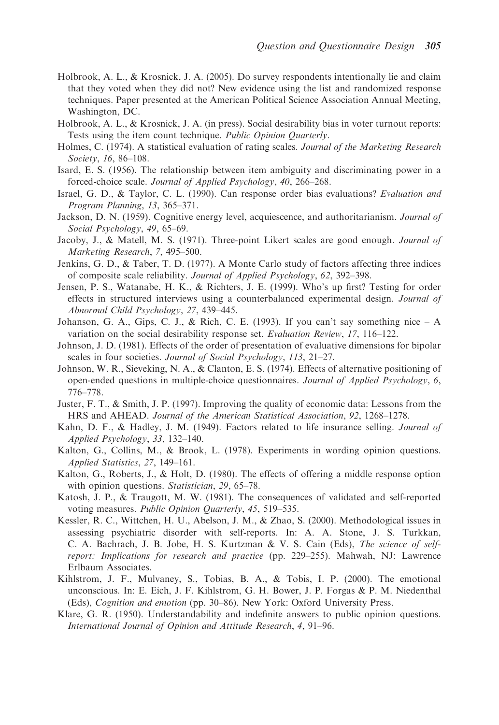- Holbrook, A. L., & Krosnick, J. A. (2005). Do survey respondents intentionally lie and claim that they voted when they did not? New evidence using the list and randomized response techniques. Paper presented at the American Political Science Association Annual Meeting, Washington, DC.
- Holbrook, A. L., & Krosnick, J. A. (in press). Social desirability bias in voter turnout reports: Tests using the item count technique. Public Opinion Quarterly.
- Holmes, C. (1974). A statistical evaluation of rating scales. Journal of the Marketing Research Society, 16, 86–108.
- Isard, E. S. (1956). The relationship between item ambiguity and discriminating power in a forced-choice scale. Journal of Applied Psychology, 40, 266–268.
- Israel, G. D., & Taylor, C. L. (1990). Can response order bias evaluations? Evaluation and Program Planning, 13, 365–371.
- Jackson, D. N. (1959). Cognitive energy level, acquiescence, and authoritarianism. Journal of Social Psychology, 49, 65–69.
- Jacoby, J., & Matell, M. S. (1971). Three-point Likert scales are good enough. Journal of Marketing Research, 7, 495–500.
- Jenkins, G. D., & Taber, T. D. (1977). A Monte Carlo study of factors affecting three indices of composite scale reliability. Journal of Applied Psychology, 62, 392–398.
- Jensen, P. S., Watanabe, H. K., & Richters, J. E. (1999). Who's up first? Testing for order effects in structured interviews using a counterbalanced experimental design. Journal of Abnormal Child Psychology, 27, 439–445.
- Johanson, G. A., Gips, C. J., & Rich, C. E. (1993). If you can't say something nice  $A$ variation on the social desirability response set. Evaluation Review, 17, 116–122.
- Johnson, J. D. (1981). Effects of the order of presentation of evaluative dimensions for bipolar scales in four societies. Journal of Social Psychology, 113, 21–27.
- Johnson, W. R., Sieveking, N. A., & Clanton, E. S. (1974). Effects of alternative positioning of open-ended questions in multiple-choice questionnaires. Journal of Applied Psychology, 6, 776–778.
- Juster, F. T., & Smith, J. P. (1997). Improving the quality of economic data: Lessons from the HRS and AHEAD. Journal of the American Statistical Association, 92, 1268–1278.
- Kahn, D. F., & Hadley, J. M. (1949). Factors related to life insurance selling. Journal of Applied Psychology, 33, 132–140.
- Kalton, G., Collins, M., & Brook, L. (1978). Experiments in wording opinion questions. Applied Statistics, 27, 149–161.
- Kalton, G., Roberts, J., & Holt, D. (1980). The effects of offering a middle response option with opinion questions. Statistician, 29, 65–78.
- Katosh, J. P., & Traugott, M. W. (1981). The consequences of validated and self-reported voting measures. Public Opinion Quarterly, 45, 519–535.
- Kessler, R. C., Wittchen, H. U., Abelson, J. M., & Zhao, S. (2000). Methodological issues in assessing psychiatric disorder with self-reports. In: A. A. Stone, J. S. Turkkan, C. A. Bachrach, J. B. Jobe, H. S. Kurtzman & V. S. Cain (Eds), The science of selfreport: Implications for research and practice (pp. 229–255). Mahwah, NJ: Lawrence Erlbaum Associates.
- Kihlstrom, J. F., Mulvaney, S., Tobias, B. A., & Tobis, I. P. (2000). The emotional unconscious. In: E. Eich, J. F. Kihlstrom, G. H. Bower, J. P. Forgas & P. M. Niedenthal (Eds), Cognition and emotion (pp. 30–86). New York: Oxford University Press.
- Klare, G. R. (1950). Understandability and indefinite answers to public opinion questions. International Journal of Opinion and Attitude Research, 4, 91–96.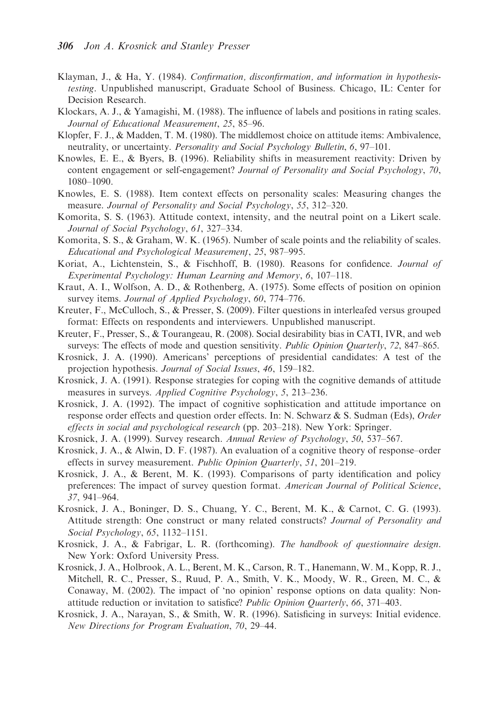- Klayman, J., & Ha, Y. (1984). Confirmation, disconfirmation, and information in hypothesistesting. Unpublished manuscript, Graduate School of Business. Chicago, IL: Center for Decision Research.
- Klockars, A. J., & Yamagishi, M. (1988). The influence of labels and positions in rating scales. Journal of Educational Measurement, 25, 85–96.
- Klopfer, F. J., & Madden, T. M. (1980). The middlemost choice on attitude items: Ambivalence, neutrality, or uncertainty. Personality and Social Psychology Bulletin, 6, 97–101.
- Knowles, E. E., & Byers, B. (1996). Reliability shifts in measurement reactivity: Driven by content engagement or self-engagement? Journal of Personality and Social Psychology, 70, 1080–1090.
- Knowles, E. S. (1988). Item context effects on personality scales: Measuring changes the measure. Journal of Personality and Social Psychology, 55, 312–320.
- Komorita, S. S. (1963). Attitude context, intensity, and the neutral point on a Likert scale. Journal of Social Psychology, 61, 327–334.
- Komorita, S. S., & Graham, W. K. (1965). Number of scale points and the reliability of scales. Educational and Psychological Measurement, 25, 987–995.
- Koriat, A., Lichtenstein, S., & Fischhoff, B. (1980). Reasons for confidence. Journal of Experimental Psychology: Human Learning and Memory, 6, 107–118.
- Kraut, A. I., Wolfson, A. D., & Rothenberg, A. (1975). Some effects of position on opinion survey items. Journal of Applied Psychology, 60, 774–776.
- Kreuter, F., McCulloch, S., & Presser, S. (2009). Filter questions in interleafed versus grouped format: Effects on respondents and interviewers. Unpublished manuscript.
- Kreuter, F., Presser, S., & Tourangeau, R. (2008). Social desirability bias in CATI, IVR, and web surveys: The effects of mode and question sensitivity. *Public Opinion Quarterly*, 72, 847–865.
- Krosnick, J. A. (1990). Americans' perceptions of presidential candidates: A test of the projection hypothesis. Journal of Social Issues, 46, 159–182.
- Krosnick, J. A. (1991). Response strategies for coping with the cognitive demands of attitude measures in surveys. Applied Cognitive Psychology, 5, 213–236.
- Krosnick, J. A. (1992). The impact of cognitive sophistication and attitude importance on response order effects and question order effects. In: N. Schwarz & S. Sudman (Eds), Order effects in social and psychological research (pp. 203–218). New York: Springer.
- Krosnick, J. A. (1999). Survey research. Annual Review of Psychology, 50, 537–567.
- Krosnick, J. A., & Alwin, D. F. (1987). An evaluation of a cognitive theory of response–order effects in survey measurement. Public Opinion Quarterly, 51, 201–219.
- Krosnick, J. A., & Berent, M. K. (1993). Comparisons of party identification and policy preferences: The impact of survey question format. American Journal of Political Science, 37, 941–964.
- Krosnick, J. A., Boninger, D. S., Chuang, Y. C., Berent, M. K., & Carnot, C. G. (1993). Attitude strength: One construct or many related constructs? Journal of Personality and Social Psychology, 65, 1132–1151.
- Krosnick, J. A., & Fabrigar, L. R. (forthcoming). The handbook of questionnaire design. New York: Oxford University Press.
- Krosnick, J. A., Holbrook, A. L., Berent, M. K., Carson, R. T., Hanemann, W. M., Kopp, R. J., Mitchell, R. C., Presser, S., Ruud, P. A., Smith, V. K., Moody, W. R., Green, M. C., & Conaway, M. (2002). The impact of 'no opinion' response options on data quality: Nonattitude reduction or invitation to satisfice? *Public Opinion Quarterly*, 66, 371–403.
- Krosnick, J. A., Narayan, S., & Smith, W. R. (1996). Satisficing in surveys: Initial evidence. New Directions for Program Evaluation, 70, 29–44.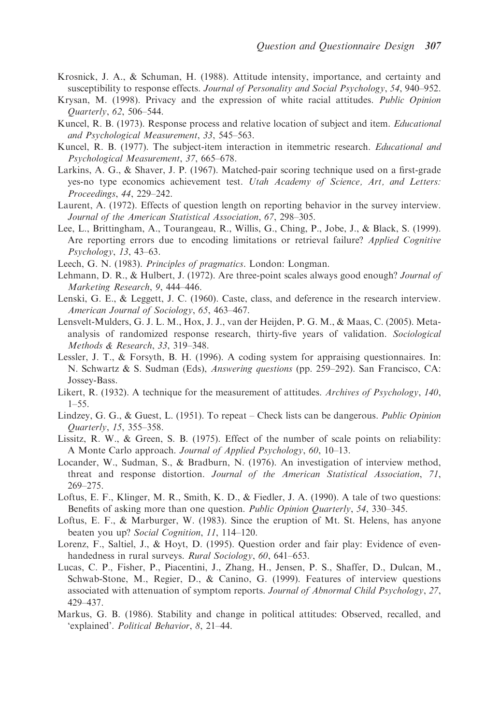- Krosnick, J. A., & Schuman, H. (1988). Attitude intensity, importance, and certainty and susceptibility to response effects. Journal of Personality and Social Psychology, 54, 940–952.
- Krysan, M. (1998). Privacy and the expression of white racial attitudes. Public Opinion Quarterly, 62, 506–544.
- Kuncel, R. B. (1973). Response process and relative location of subject and item. *Educational* and Psychological Measurement, 33, 545–563.
- Kuncel, R. B. (1977). The subject-item interaction in itemmetric research. *Educational and* Psychological Measurement, 37, 665–678.
- Larkins, A. G., & Shaver, J. P. (1967). Matched-pair scoring technique used on a first-grade yes-no type economics achievement test. Utah Academy of Science, Art, and Letters: Proceedings, 44, 229–242.
- Laurent, A. (1972). Effects of question length on reporting behavior in the survey interview. Journal of the American Statistical Association, 67, 298–305.
- Lee, L., Brittingham, A., Tourangeau, R., Willis, G., Ching, P., Jobe, J., & Black, S. (1999). Are reporting errors due to encoding limitations or retrieval failure? Applied Cognitive Psychology, 13, 43–63.
- Leech, G. N. (1983). Principles of pragmatics. London: Longman.
- Lehmann, D. R., & Hulbert, J. (1972). Are three-point scales always good enough? Journal of Marketing Research, 9, 444–446.
- Lenski, G. E., & Leggett, J. C. (1960). Caste, class, and deference in the research interview. American Journal of Sociology, 65, 463–467.
- Lensvelt-Mulders, G. J. L. M., Hox, J. J., van der Heijden, P. G. M., & Maas, C. (2005). Metaanalysis of randomized response research, thirty-five years of validation. Sociological Methods & Research, 33, 319–348.
- Lessler, J. T., & Forsyth, B. H. (1996). A coding system for appraising questionnaires. In: N. Schwartz & S. Sudman (Eds), Answering questions (pp. 259–292). San Francisco, CA: Jossey-Bass.
- Likert, R. (1932). A technique for the measurement of attitudes. Archives of Psychology, 140,  $1-55$ .
- Lindzey, G. G., & Guest, L. (1951). To repeat Check lists can be dangerous. *Public Opinion* Quarterly, 15, 355–358.
- Lissitz, R. W., & Green, S. B. (1975). Effect of the number of scale points on reliability: A Monte Carlo approach. Journal of Applied Psychology, 60, 10–13.
- Locander, W., Sudman, S., & Bradburn, N. (1976). An investigation of interview method, threat and response distortion. Journal of the American Statistical Association, 71, 269–275.
- Loftus, E. F., Klinger, M. R., Smith, K. D., & Fiedler, J. A. (1990). A tale of two questions: Benefits of asking more than one question. *Public Opinion Quarterly*, 54, 330–345.
- Loftus, E. F., & Marburger, W. (1983). Since the eruption of Mt. St. Helens, has anyone beaten you up? Social Cognition, 11, 114–120.
- Lorenz, F., Saltiel, J., & Hoyt, D. (1995). Question order and fair play: Evidence of evenhandedness in rural surveys. Rural Sociology, 60, 641–653.
- Lucas, C. P., Fisher, P., Piacentini, J., Zhang, H., Jensen, P. S., Shaffer, D., Dulcan, M., Schwab-Stone, M., Regier, D., & Canino, G. (1999). Features of interview questions associated with attenuation of symptom reports. Journal of Abnormal Child Psychology, 27, 429–437.
- Markus, G. B. (1986). Stability and change in political attitudes: Observed, recalled, and 'explained'. Political Behavior, 8, 21–44.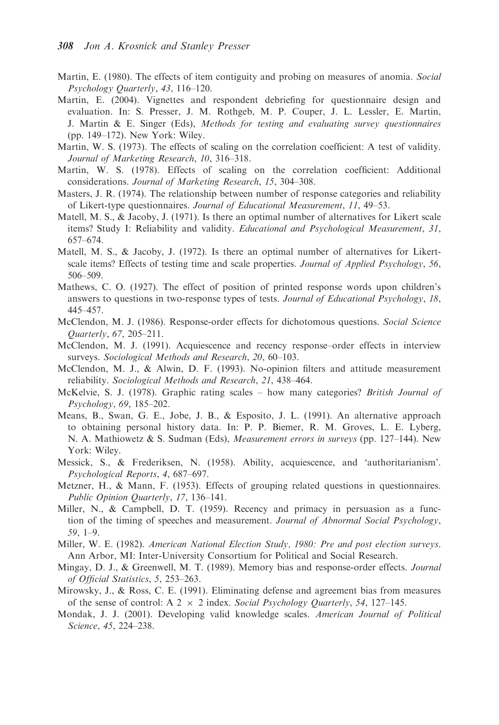- Martin, E. (1980). The effects of item contiguity and probing on measures of anomia. Social Psychology Quarterly, 43, 116–120.
- Martin, E. (2004). Vignettes and respondent debriefing for questionnaire design and evaluation. In: S. Presser, J. M. Rothgeb, M. P. Couper, J. L. Lessler, E. Martin, J. Martin  $\&$  E. Singer (Eds), Methods for testing and evaluating survey questionnaires (pp. 149–172). New York: Wiley.
- Martin, W. S. (1973). The effects of scaling on the correlation coefficient: A test of validity. Journal of Marketing Research, 10, 316–318.
- Martin, W. S. (1978). Effects of scaling on the correlation coefficient: Additional considerations. Journal of Marketing Research, 15, 304–308.
- Masters, J. R. (1974). The relationship between number of response categories and reliability of Likert-type questionnaires. Journal of Educational Measurement, 11, 49–53.
- Matell, M. S., & Jacoby, J. (1971). Is there an optimal number of alternatives for Likert scale items? Study I: Reliability and validity. Educational and Psychological Measurement, 31, 657–674.
- Matell, M. S., & Jacoby, J. (1972). Is there an optimal number of alternatives for Likertscale items? Effects of testing time and scale properties. Journal of Applied Psychology, 56, 506–509.
- Mathews, C. O. (1927). The effect of position of printed response words upon children's answers to questions in two-response types of tests. Journal of Educational Psychology, 18, 445–457.
- McClendon, M. J. (1986). Response-order effects for dichotomous questions. Social Science Quarterly, 67, 205–211.
- McClendon, M. J. (1991). Acquiescence and recency response–order effects in interview surveys. Sociological Methods and Research, 20, 60–103.
- McClendon, M. J., & Alwin, D. F. (1993). No-opinion filters and attitude measurement reliability. Sociological Methods and Research, 21, 438–464.
- McKelvie, S. J. (1978). Graphic rating scales how many categories? British Journal of Psychology, 69, 185–202.
- Means, B., Swan, G. E., Jobe, J. B., & Esposito, J. L. (1991). An alternative approach to obtaining personal history data. In: P. P. Biemer, R. M. Groves, L. E. Lyberg, N. A. Mathiowetz & S. Sudman (Eds), *Measurement errors in surveys* (pp. 127–144). New York: Wiley.
- Messick, S., & Frederiksen, N. (1958). Ability, acquiescence, and 'authoritarianism'. Psychological Reports, 4, 687–697.
- Metzner, H., & Mann, F. (1953). Effects of grouping related questions in questionnaires. Public Opinion Quarterly, 17, 136–141.
- Miller, N., & Campbell, D. T. (1959). Recency and primacy in persuasion as a function of the timing of speeches and measurement. Journal of Abnormal Social Psychology, 59, 1–9.
- Miller, W. E. (1982). American National Election Study, 1980: Pre and post election surveys. Ann Arbor, MI: Inter-University Consortium for Political and Social Research.
- Mingay, D. J., & Greenwell, M. T. (1989). Memory bias and response-order effects. *Journal* of Official Statistics, 5, 253–263.
- Mirowsky, J., & Ross, C. E. (1991). Eliminating defense and agreement bias from measures of the sense of control: A 2  $\times$  2 index. Social Psychology Quarterly, 54, 127–145.
- Mondak, J. J. (2001). Developing valid knowledge scales. American Journal of Political Science, 45, 224–238.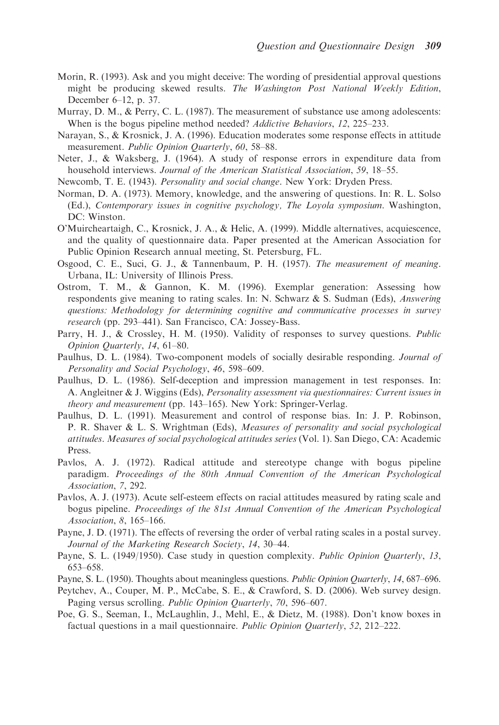- Morin, R. (1993). Ask and you might deceive: The wording of presidential approval questions might be producing skewed results. The Washington Post National Weekly Edition, December 6–12, p. 37.
- Murray, D. M., & Perry, C. L. (1987). The measurement of substance use among adolescents: When is the bogus pipeline method needed? Addictive Behaviors, 12, 225–233.
- Narayan, S., & Krosnick, J. A. (1996). Education moderates some response effects in attitude measurement. Public Opinion Quarterly, 60, 58–88.
- Neter, J., & Waksberg, J. (1964). A study of response errors in expenditure data from household interviews. Journal of the American Statistical Association, 59, 18-55.
- Newcomb, T. E. (1943). Personality and social change. New York: Dryden Press.
- Norman, D. A. (1973). Memory, knowledge, and the answering of questions. In: R. L. Solso (Ed.), Contemporary issues in cognitive psychology, The Loyola symposium. Washington, DC: Winston.
- O'Muircheartaigh, C., Krosnick, J. A., & Helic, A. (1999). Middle alternatives, acquiescence, and the quality of questionnaire data. Paper presented at the American Association for Public Opinion Research annual meeting, St. Petersburg, FL.
- Osgood, C. E., Suci, G. J., & Tannenbaum, P. H. (1957). The measurement of meaning. Urbana, IL: University of Illinois Press.
- Ostrom, T. M., & Gannon, K. M. (1996). Exemplar generation: Assessing how respondents give meaning to rating scales. In: N. Schwarz & S. Sudman (Eds), *Answering* questions: Methodology for determining cognitive and communicative processes in survey research (pp. 293–441). San Francisco, CA: Jossey-Bass.
- Parry, H. J., & Crossley, H. M. (1950). Validity of responses to survey questions. Public Opinion Quarterly, 14, 61–80.
- Paulhus, D. L. (1984). Two-component models of socially desirable responding. Journal of Personality and Social Psychology, 46, 598–609.
- Paulhus, D. L. (1986). Self-deception and impression management in test responses. In: A. Angleitner & J. Wiggins (Eds), Personality assessment via questionnaires: Current issues in theory and measurement (pp. 143-165). New York: Springer-Verlag.
- Paulhus, D. L. (1991). Measurement and control of response bias. In: J. P. Robinson, P. R. Shaver & L. S. Wrightman (Eds), Measures of personality and social psychological attitudes. Measures of social psychological attitudes series (Vol. 1). San Diego, CA: Academic Press.
- Pavlos, A. J. (1972). Radical attitude and stereotype change with bogus pipeline paradigm. Proceedings of the 80th Annual Convention of the American Psychological Association, 7, 292.
- Pavlos, A. J. (1973). Acute self-esteem effects on racial attitudes measured by rating scale and bogus pipeline. Proceedings of the 81st Annual Convention of the American Psychological Association, 8, 165–166.
- Payne, J. D. (1971). The effects of reversing the order of verbal rating scales in a postal survey. Journal of the Marketing Research Society, 14, 30–44.
- Payne, S. L. (1949/1950). Case study in question complexity. Public Opinion Quarterly, 13, 653–658.
- Payne, S. L. (1950). Thoughts about meaningless questions. Public Opinion Quarterly, 14, 687–696.
- Peytchev, A., Couper, M. P., McCabe, S. E., & Crawford, S. D. (2006). Web survey design. Paging versus scrolling. Public Opinion Quarterly, 70, 596–607.
- Poe, G. S., Seeman, I., McLaughlin, J., Mehl, E., & Dietz, M. (1988). Don't know boxes in factual questions in a mail questionnaire. Public Opinion Quarterly, 52, 212–222.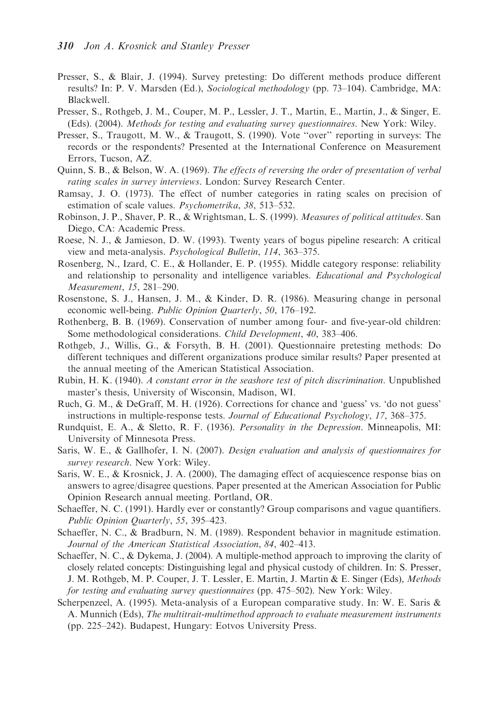- Presser, S., & Blair, J. (1994). Survey pretesting: Do different methods produce different results? In: P. V. Marsden (Ed.), Sociological methodology (pp. 73–104). Cambridge, MA: Blackwell.
- Presser, S., Rothgeb, J. M., Couper, M. P., Lessler, J. T., Martin, E., Martin, J., & Singer, E. (Eds). (2004). Methods for testing and evaluating survey questionnaires. New York: Wiley.
- Presser, S., Traugott, M. W., & Traugott, S. (1990). Vote "over" reporting in surveys: The records or the respondents? Presented at the International Conference on Measurement Errors, Tucson, AZ.
- Quinn, S. B., & Belson, W. A. (1969). The effects of reversing the order of presentation of verbal rating scales in survey interviews. London: Survey Research Center.
- Ramsay, J. O. (1973). The effect of number categories in rating scales on precision of estimation of scale values. Psychometrika, 38, 513–532.
- Robinson, J. P., Shaver, P. R., & Wrightsman, L. S. (1999). Measures of political attitudes. San Diego, CA: Academic Press.
- Roese, N. J., & Jamieson, D. W. (1993). Twenty years of bogus pipeline research: A critical view and meta-analysis. Psychological Bulletin, 114, 363–375.
- Rosenberg, N., Izard, C. E., & Hollander, E. P. (1955). Middle category response: reliability and relationship to personality and intelligence variables. Educational and Psychological Measurement, 15, 281–290.
- Rosenstone, S. J., Hansen, J. M., & Kinder, D. R. (1986). Measuring change in personal economic well-being. Public Opinion Quarterly, 50, 176–192.
- Rothenberg, B. B. (1969). Conservation of number among four- and five-year-old children: Some methodological considerations. Child Development, 40, 383-406.
- Rothgeb, J., Willis, G., & Forsyth, B. H. (2001). Questionnaire pretesting methods: Do different techniques and different organizations produce similar results? Paper presented at the annual meeting of the American Statistical Association.
- Rubin, H. K. (1940). A constant error in the seashore test of pitch discrimination. Unpublished master's thesis, University of Wisconsin, Madison, WI.
- Ruch, G. M., & DeGraff, M. H. (1926). Corrections for chance and 'guess' vs. 'do not guess' instructions in multiple-response tests. Journal of Educational Psychology, 17, 368–375.
- Rundquist, E. A., & Sletto, R. F. (1936). Personality in the Depression. Minneapolis, MI: University of Minnesota Press.
- Saris, W. E., & Gallhofer, I. N. (2007). Design evaluation and analysis of questionnaires for survey research. New York: Wiley.
- Saris, W. E., & Krosnick, J. A. (2000), The damaging effect of acquiescence response bias on answers to agree/disagree questions. Paper presented at the American Association for Public Opinion Research annual meeting. Portland, OR.
- Schaeffer, N. C. (1991). Hardly ever or constantly? Group comparisons and vague quantifiers. Public Opinion Quarterly, 55, 395–423.
- Schaeffer, N. C., & Bradburn, N. M. (1989). Respondent behavior in magnitude estimation. Journal of the American Statistical Association, 84, 402–413.
- Schaeffer, N. C., & Dykema, J. (2004). A multiple-method approach to improving the clarity of closely related concepts: Distinguishing legal and physical custody of children. In: S. Presser, J. M. Rothgeb, M. P. Couper, J. T. Lessler, E. Martin, J. Martin & E. Singer (Eds), Methods for testing and evaluating survey questionnaires (pp. 475–502). New York: Wiley.
- Scherpenzeel, A. (1995). Meta-analysis of a European comparative study. In: W. E. Saris & A. Munnich (Eds), The multitrait-multimethod approach to evaluate measurement instruments (pp. 225–242). Budapest, Hungary: Eotvos University Press.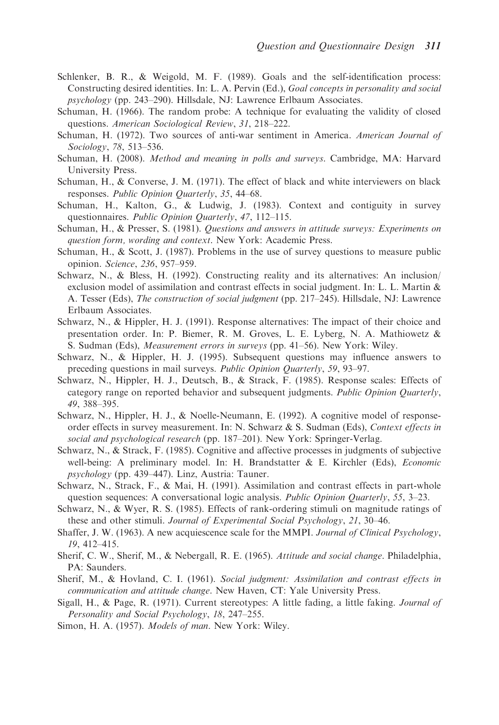- Schlenker, B. R., & Weigold, M. F. (1989). Goals and the self-identification process: Constructing desired identities. In: L. A. Pervin (Ed.), Goal concepts in personality and social psychology (pp. 243–290). Hillsdale, NJ: Lawrence Erlbaum Associates.
- Schuman, H. (1966). The random probe: A technique for evaluating the validity of closed questions. American Sociological Review, 31, 218–222.
- Schuman, H. (1972). Two sources of anti-war sentiment in America. American Journal of Sociology, 78, 513–536.
- Schuman, H. (2008). Method and meaning in polls and surveys. Cambridge, MA: Harvard University Press.
- Schuman, H., & Converse, J. M. (1971). The effect of black and white interviewers on black responses. Public Opinion Quarterly, 35, 44–68.
- Schuman, H., Kalton, G., & Ludwig, J. (1983). Context and contiguity in survey questionnaires. Public Opinion Quarterly, 47, 112–115.
- Schuman, H., & Presser, S. (1981). Questions and answers in attitude surveys: Experiments on question form, wording and context. New York: Academic Press.
- Schuman, H., & Scott, J. (1987). Problems in the use of survey questions to measure public opinion. Science, 236, 957–959.
- Schwarz, N., & Bless, H. (1992). Constructing reality and its alternatives: An inclusion/ exclusion model of assimilation and contrast effects in social judgment. In: L. L. Martin & A. Tesser (Eds), The construction of social judgment (pp. 217–245). Hillsdale, NJ: Lawrence Erlbaum Associates.
- Schwarz, N., & Hippler, H. J. (1991). Response alternatives: The impact of their choice and presentation order. In: P. Biemer, R. M. Groves, L. E. Lyberg, N. A. Mathiowetz & S. Sudman (Eds), Measurement errors in surveys (pp. 41–56). New York: Wiley.
- Schwarz, N., & Hippler, H. J. (1995). Subsequent questions may influence answers to preceding questions in mail surveys. Public Opinion Quarterly, 59, 93-97.
- Schwarz, N., Hippler, H. J., Deutsch, B., & Strack, F. (1985). Response scales: Effects of category range on reported behavior and subsequent judgments. Public Opinion Quarterly, 49, 388–395.
- Schwarz, N., Hippler, H. J., & Noelle-Neumann, E. (1992). A cognitive model of responseorder effects in survey measurement. In: N. Schwarz & S. Sudman (Eds), Context effects in social and psychological research (pp. 187–201). New York: Springer-Verlag.
- Schwarz, N., & Strack, F. (1985). Cognitive and affective processes in judgments of subjective well-being: A preliminary model. In: H. Brandstatter & E. Kirchler (Eds), Economic psychology (pp. 439–447). Linz, Austria: Tauner.
- Schwarz, N., Strack, F., & Mai, H. (1991). Assimilation and contrast effects in part-whole question sequences: A conversational logic analysis. *Public Opinion Quarterly*, 55, 3–23.
- Schwarz, N., & Wyer, R. S. (1985). Effects of rank-ordering stimuli on magnitude ratings of these and other stimuli. Journal of Experimental Social Psychology, 21, 30–46.
- Shaffer, J. W. (1963). A new acquiescence scale for the MMPI. Journal of Clinical Psychology, 19, 412–415.
- Sherif, C. W., Sherif, M., & Nebergall, R. E. (1965). Attitude and social change. Philadelphia, PA: Saunders.
- Sherif, M., & Hovland, C. I. (1961). Social judgment: Assimilation and contrast effects in communication and attitude change. New Haven, CT: Yale University Press.
- Sigall, H., & Page, R. (1971). Current stereotypes: A little fading, a little faking. Journal of Personality and Social Psychology, 18, 247–255.
- Simon, H. A. (1957). *Models of man*. New York: Wiley.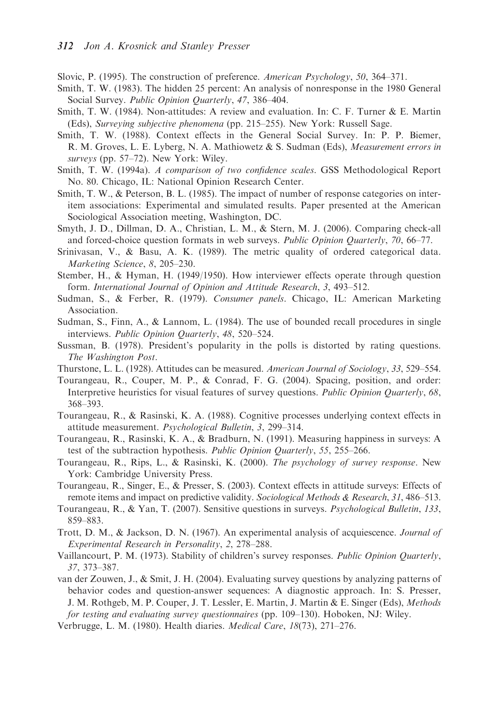Slovic, P. (1995). The construction of preference. American Psychology, 50, 364–371.

- Smith, T. W. (1983). The hidden 25 percent: An analysis of nonresponse in the 1980 General Social Survey. Public Opinion Quarterly, 47, 386-404.
- Smith, T. W. (1984). Non-attitudes: A review and evaluation. In: C. F. Turner & E. Martin (Eds), Surveying subjective phenomena (pp. 215–255). New York: Russell Sage.
- Smith, T. W. (1988). Context effects in the General Social Survey. In: P. P. Biemer, R. M. Groves, L. E. Lyberg, N. A. Mathiowetz & S. Sudman (Eds), Measurement errors in surveys (pp. 57–72). New York: Wiley.
- Smith, T. W. (1994a). A comparison of two confidence scales. GSS Methodological Report No. 80. Chicago, IL: National Opinion Research Center.
- Smith, T. W., & Peterson, B. L. (1985). The impact of number of response categories on interitem associations: Experimental and simulated results. Paper presented at the American Sociological Association meeting, Washington, DC.
- Smyth, J. D., Dillman, D. A., Christian, L. M., & Stern, M. J. (2006). Comparing check-all and forced-choice question formats in web surveys. Public Opinion Quarterly, 70, 66–77.
- Srinivasan, V., & Basu, A. K. (1989). The metric quality of ordered categorical data. Marketing Science, 8, 205–230.
- Stember, H., & Hyman, H. (1949/1950). How interviewer effects operate through question form. International Journal of Opinion and Attitude Research, 3, 493–512.
- Sudman, S., & Ferber, R. (1979). Consumer panels. Chicago, IL: American Marketing Association.
- Sudman, S., Finn, A., & Lannom, L. (1984). The use of bounded recall procedures in single interviews. Public Opinion Quarterly, 48, 520-524.
- Sussman, B. (1978). President's popularity in the polls is distorted by rating questions. The Washington Post.
- Thurstone, L. L. (1928). Attitudes can be measured. American Journal of Sociology, 33, 529–554.
- Tourangeau, R., Couper, M. P., & Conrad, F. G. (2004). Spacing, position, and order: Interpretive heuristics for visual features of survey questions. *Public Opinion Quarterly, 68*, 368–393.
- Tourangeau, R., & Rasinski, K. A. (1988). Cognitive processes underlying context effects in attitude measurement. Psychological Bulletin, 3, 299–314.
- Tourangeau, R., Rasinski, K. A., & Bradburn, N. (1991). Measuring happiness in surveys: A test of the subtraction hypothesis. Public Opinion Quarterly, 55, 255–266.
- Tourangeau, R., Rips, L., & Rasinski, K. (2000). The psychology of survey response. New York: Cambridge University Press.
- Tourangeau, R., Singer, E., & Presser, S. (2003). Context effects in attitude surveys: Effects of remote items and impact on predictive validity. Sociological Methods & Research, 31, 486–513.
- Tourangeau, R., & Yan, T. (2007). Sensitive questions in surveys. Psychological Bulletin, 133, 859–883.
- Trott, D. M., & Jackson, D. N. (1967). An experimental analysis of acquiescence. Journal of Experimental Research in Personality, 2, 278–288.
- Vaillancourt, P. M. (1973). Stability of children's survey responses. Public Opinion Quarterly, 37, 373–387.
- van der Zouwen, J., & Smit, J. H. (2004). Evaluating survey questions by analyzing patterns of behavior codes and question-answer sequences: A diagnostic approach. In: S. Presser, J. M. Rothgeb, M. P. Couper, J. T. Lessler, E. Martin, J. Martin & E. Singer (Eds), Methods for testing and evaluating survey questionnaires (pp. 109–130). Hoboken, NJ: Wiley.

Verbrugge, L. M. (1980). Health diaries. Medical Care, 18(73), 271–276.